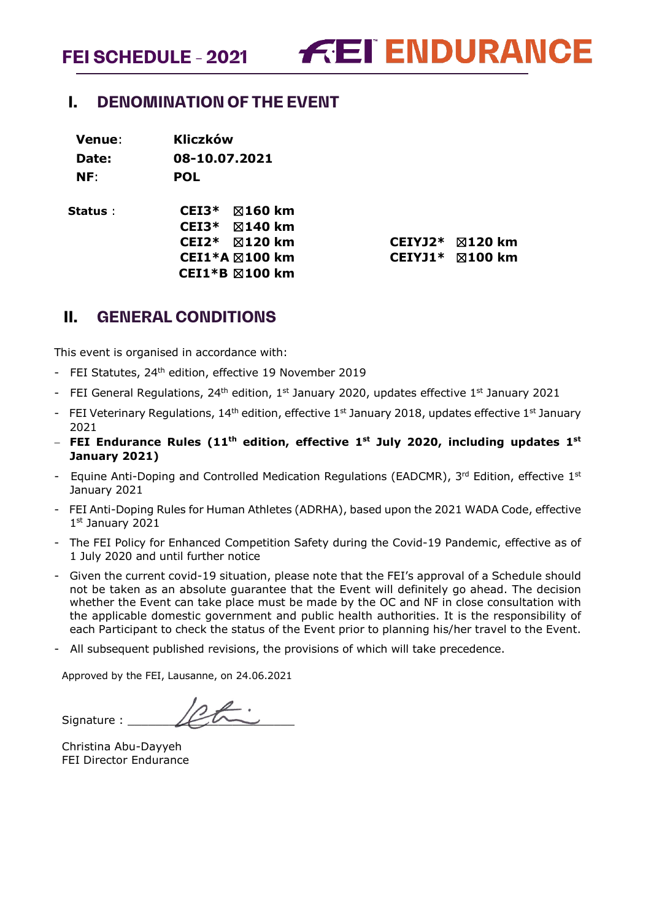**FEI ENDURANCE** 

# <span id="page-0-0"></span>**I. DENOMINATION OF THE EVENT**

**Venue**: **Kliczków Date: 08-10.07.2021 NF**: **POL**

**Status** : **CEI3\*** ☒**160 km CEI3\*** ☒**140 km CEI1\*B** ☒**100 km**

**CEI2\*** ☒**120 km CEIYJ2\*** ☒**120 km CEI1\*A** ☒**100 km CEIYJ1\*** ☒**100 km**

# <span id="page-0-1"></span>**II. GENERAL CONDITIONS**

This event is organised in accordance with:

- FEI Statutes, 24<sup>th</sup> edition, effective 19 November 2019
- FEI General Regulations, 24<sup>th</sup> edition, 1<sup>st</sup> January 2020, updates effective 1<sup>st</sup> January 2021
- FEI Veterinary Regulations, 14<sup>th</sup> edition, effective 1<sup>st</sup> January 2018, updates effective 1<sup>st</sup> January 2021
- − **FEI Endurance Rules (11th edition, effective 1st July 2020, including updates 1st January 2021)**
- Equine Anti-Doping and Controlled Medication Regulations (EADCMR),  $3^{rd}$  Edition, effective  $1^{st}$ January 2021
- FEI Anti-Doping Rules for Human Athletes (ADRHA), based upon the 2021 WADA Code, effective 1st January 2021
- The FEI Policy for Enhanced Competition Safety during the Covid-19 Pandemic, effective as of 1 July 2020 and until further notice
- Given the current covid-19 situation, please note that the FEI's approval of a Schedule should not be taken as an absolute guarantee that the Event will definitely go ahead. The decision whether the Event can take place must be made by the OC and NF in close consultation with the applicable domestic government and public health authorities. It is the responsibility of each Participant to check the status of the Event prior to planning his/her travel to the Event.
- All subsequent published revisions, the provisions of which will take precedence.

Approved by the FEI, Lausanne, on 24.06.2021

Signature :

Christina Abu-Dayyeh FEI Director Endurance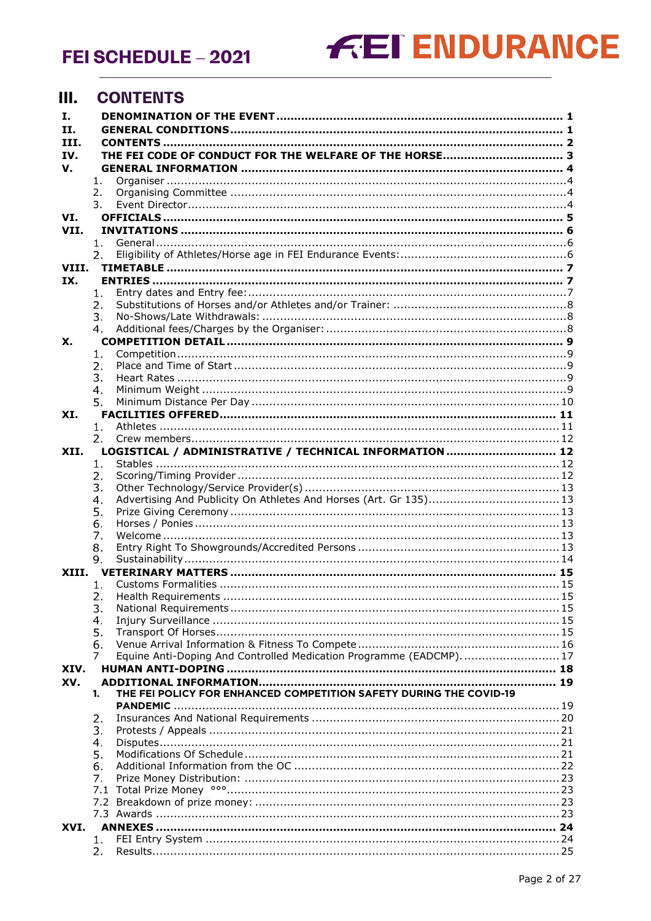# **FEI ENDURANCE**

#### <span id="page-1-0"></span>**III. CONTENTS**

| Ι.    |          |                                                                    |  |
|-------|----------|--------------------------------------------------------------------|--|
| II.   |          |                                                                    |  |
| III.  |          |                                                                    |  |
| IV.   |          |                                                                    |  |
| V.    |          |                                                                    |  |
|       | 1.       |                                                                    |  |
|       | 2.<br>3. |                                                                    |  |
| VI.   |          |                                                                    |  |
| VII.  |          |                                                                    |  |
|       | 1.       |                                                                    |  |
|       | 2.       |                                                                    |  |
| VIII. |          |                                                                    |  |
| IX.   |          |                                                                    |  |
|       | 1.       |                                                                    |  |
|       | 2.       |                                                                    |  |
|       | 3.       |                                                                    |  |
|       | 4.       |                                                                    |  |
| Х.    |          |                                                                    |  |
|       | 1.       |                                                                    |  |
|       | 2.<br>3. |                                                                    |  |
|       | 4.       |                                                                    |  |
|       | 5.       |                                                                    |  |
| XI.   |          |                                                                    |  |
|       | 1.       |                                                                    |  |
|       | 2.       |                                                                    |  |
| XII.  |          | LOGISTICAL / ADMINISTRATIVE / TECHNICAL INFORMATION  12            |  |
|       | 1.       |                                                                    |  |
|       | 2.       |                                                                    |  |
|       | 3.       |                                                                    |  |
|       | 4.       | Advertising And Publicity On Athletes And Horses (Art. Gr 135)13   |  |
|       | 5.       |                                                                    |  |
|       | 6.       |                                                                    |  |
|       | 7.       |                                                                    |  |
|       | 8.<br>9. |                                                                    |  |
| XIII. |          |                                                                    |  |
|       | 1.       |                                                                    |  |
|       | 2.       |                                                                    |  |
|       | 3.       |                                                                    |  |
|       | 4.       |                                                                    |  |
|       | 5.       |                                                                    |  |
|       | 6.       |                                                                    |  |
|       | 7        | Equine Anti-Doping And Controlled Medication Programme (EADCMP) 17 |  |
| XIV.  |          |                                                                    |  |
| XV.   |          | THE FEI POLICY FOR ENHANCED COMPETITION SAFETY DURING THE COVID-19 |  |
|       | 1.       |                                                                    |  |
|       | 2.       |                                                                    |  |
|       | 3.       |                                                                    |  |
|       | 4.       |                                                                    |  |
|       | 5.       |                                                                    |  |
|       | 6.       |                                                                    |  |
|       | 7.       |                                                                    |  |
|       | 7.1      |                                                                    |  |
|       | 7.2      |                                                                    |  |
|       |          |                                                                    |  |
| XVI.  |          |                                                                    |  |
|       | 1.       |                                                                    |  |
|       | 2.       |                                                                    |  |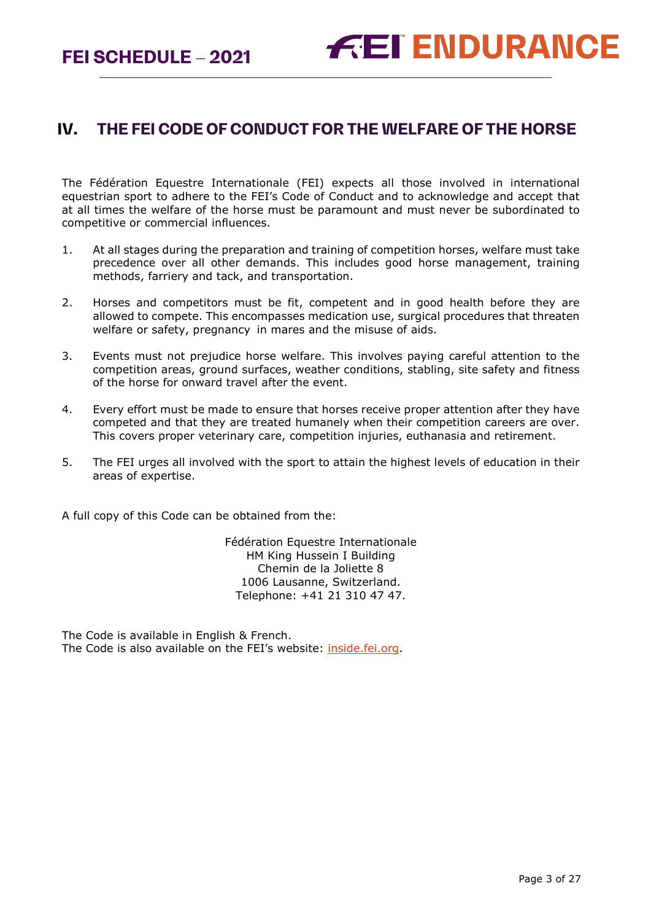# <span id="page-2-0"></span>**IV. THE FEI CODE OF CONDUCT FOR THE WELFARE OF THE HORSE**

The Fédération Equestre Internationale (FEI) expects all those involved in international equestrian sport to adhere to the FEI's Code of Conduct and to acknowledge and accept that at all times the welfare of the horse must be paramount and must never be subordinated to competitive or commercial influences.

- 1. At all stages during the preparation and training of competition horses, welfare must take precedence over all other demands. This includes good horse management, training methods, farriery and tack, and transportation.
- 2. Horses and competitors must be fit, competent and in good health before they are allowed to compete. This encompasses medication use, surgical procedures that threaten welfare or safety, pregnancy in mares and the misuse of aids.
- 3. Events must not prejudice horse welfare. This involves paying careful attention to the competition areas, ground surfaces, weather conditions, stabling, site safety and fitness of the horse for onward travel after the event.
- 4. Every effort must be made to ensure that horses receive proper attention after they have competed and that they are treated humanely when their competition careers are over. This covers proper veterinary care, competition injuries, euthanasia and retirement.
- 5. The FEI urges all involved with the sport to attain the highest levels of education in their areas of expertise.

A full copy of this Code can be obtained from the:

Fédération Equestre Internationale HM King Hussein I Building Chemin de la Joliette 8 1006 Lausanne, Switzerland. Telephone: +41 21 310 47 47.

The Code is available in English & French. The Code is also available on the FEI's website: *inside.fei.org*.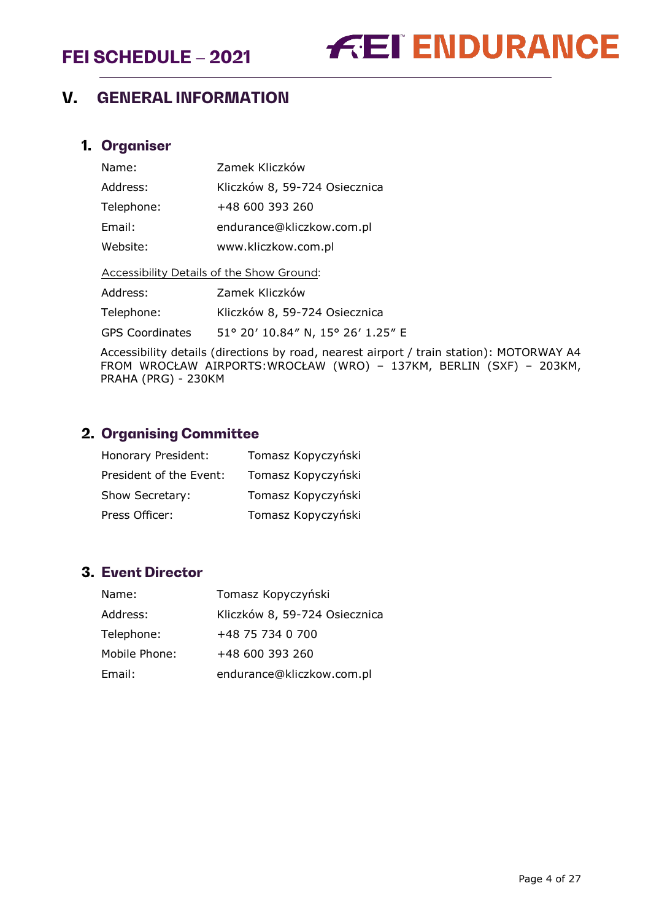

# <span id="page-3-0"></span>**V. GENERAL INFORMATION**

#### <span id="page-3-1"></span>**1. Organiser**

| Name:                                     | Zamek Kliczków                    |
|-------------------------------------------|-----------------------------------|
| Address:                                  | Kliczków 8, 59-724 Osiecznica     |
| Telephone:                                | +48 600 393 260                   |
| Email:                                    | endurance@kliczkow.com.pl         |
| Website:                                  | www.kliczkow.com.pl               |
| Accessibility Details of the Show Ground: |                                   |
| Address:                                  | Zamek Kliczków                    |
| Telephone:                                | Kliczków 8, 59-724 Osiecznica     |
| <b>GPS Coordinates</b>                    | 51° 20' 10.84" N, 15° 26' 1.25" E |

Accessibility details (directions by road, nearest airport / train station): MOTORWAY A4 FROM WROCŁAW AIRPORTS:WROCŁAW (WRO) – 137KM, BERLIN (SXF) – 203KM, PRAHA (PRG) - 230KM

## <span id="page-3-2"></span>**2. Organising Committee**

| Honorary President:     | Tomasz Kopyczyński |
|-------------------------|--------------------|
| President of the Event: | Tomasz Kopyczyński |
| Show Secretary:         | Tomasz Kopyczyński |
| Press Officer:          | Tomasz Kopyczyński |

# <span id="page-3-3"></span>**3. Event Director**

| Name:         | Tomasz Kopyczyński            |
|---------------|-------------------------------|
| Address:      | Kliczków 8, 59-724 Osiecznica |
| Telephone:    | +48 75 734 0 700              |
| Mobile Phone: | +48 600 393 260               |
| Email:        | endurance@kliczkow.com.pl     |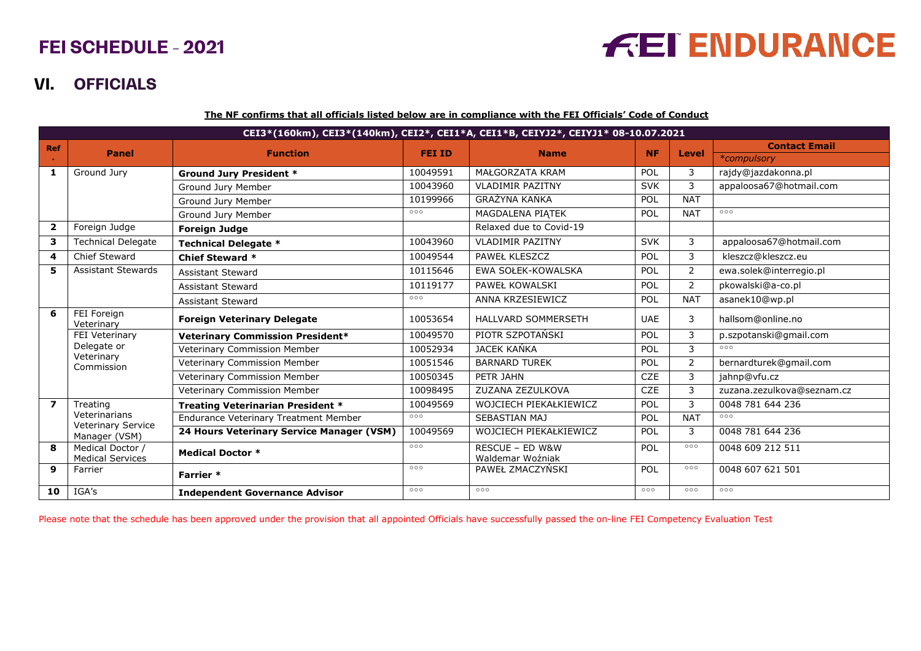# **FEI ENDURANCE**

# **VI. OFFICIALS**

**The NF confirms that all officials listed below are in compliance with the FEI Officials' Code of Conduct**

|                         | CEI3*(160km), CEI3*(140km), CEI2*, CEI1*A, CEI1*B, CEIYJ2*, CEIYJ1* 08-10.07.2021 |                                              |               |                                     |            |                |                            |  |
|-------------------------|-----------------------------------------------------------------------------------|----------------------------------------------|---------------|-------------------------------------|------------|----------------|----------------------------|--|
| <b>Ref</b>              | <b>Panel</b>                                                                      | <b>Function</b>                              | <b>FEI ID</b> | <b>Name</b>                         | <b>NF</b>  | <b>Level</b>   | <b>Contact Email</b>       |  |
|                         |                                                                                   |                                              |               |                                     |            |                | *compulsory                |  |
| 1                       | Ground Jury                                                                       | <b>Ground Jury President *</b>               | 10049591      | MAŁGORZATA KRAM                     | POL        | 3              | rajdy@jazdakonna.pl        |  |
|                         |                                                                                   | Ground Jury Member                           | 10043960      | <b>VLADIMIR PAZITNY</b>             | <b>SVK</b> | 3              | appaloosa67@hotmail.com    |  |
|                         |                                                                                   | Ground Jury Member                           | 10199966      | <b>GRAŻYNA KAŃKA</b>                | POL        | <b>NAT</b>     |                            |  |
|                         |                                                                                   | Ground Jury Member                           | 000           | MAGDALENA PIATEK                    | POL        | <b>NAT</b>     | 000                        |  |
| $\overline{2}$          | Foreign Judge                                                                     | <b>Foreign Judge</b>                         |               | Relaxed due to Covid-19             |            |                |                            |  |
| 3                       | <b>Technical Delegate</b>                                                         | <b>Technical Delegate *</b>                  | 10043960      | <b>VLADIMIR PAZITNY</b>             | <b>SVK</b> | 3              | appaloosa67@hotmail.com    |  |
| 4                       | <b>Chief Steward</b>                                                              | <b>Chief Steward *</b>                       | 10049544      | PAWEŁ KLESZCZ                       | POL        | 3              | kleszcz@kleszcz.eu         |  |
| 5.                      | <b>Assistant Stewards</b>                                                         | <b>Assistant Steward</b>                     | 10115646      | EWA SOŁEK-KOWALSKA                  | POL        | $\overline{2}$ | ewa.solek@interregio.pl    |  |
|                         |                                                                                   | <b>Assistant Steward</b>                     | 10119177      | PAWEŁ KOWALSKI                      | POL        | $\overline{2}$ | pkowalski@a-co.pl          |  |
|                         |                                                                                   | <b>Assistant Steward</b>                     | 000           | ANNA KRZESIEWICZ                    | POL        | <b>NAT</b>     | asanek10@wp.pl             |  |
| 6                       | FEI Foreign<br>Veterinary                                                         | <b>Foreign Veterinary Delegate</b>           | 10053654      | HALLVARD SOMMERSETH                 | <b>UAE</b> | 3              | hallsom@online.no          |  |
|                         | FEI Veterinary                                                                    | <b>Veterinary Commission President*</b>      | 10049570      | PIOTR SZPOTAŃSKI                    | POL        | 3              | p.szpotanski@gmail.com     |  |
|                         | Delegate or<br>Veterinary                                                         | Veterinary Commission Member                 | 10052934      | JACEK KAŃKA                         | POL        | 3              | 000                        |  |
|                         | Commission                                                                        | Veterinary Commission Member                 | 10051546      | <b>BARNARD TUREK</b>                | POL        | $\overline{2}$ | bernardturek@gmail.com     |  |
|                         |                                                                                   | Veterinary Commission Member                 | 10050345      | PETR JAHN                           | CZE        | 3              | jahnp@vfu.cz               |  |
|                         |                                                                                   | Veterinary Commission Member                 | 10098495      | ZUZANA ZEZULKOVA                    | <b>CZE</b> | 3              | zuzana.zezulkova@seznam.cz |  |
| $\overline{\mathbf{z}}$ | Treating                                                                          | <b>Treating Veterinarian President *</b>     | 10049569      | WOJCIECH PIEKAŁKIEWICZ              | POL        | 3              | 0048 781 644 236           |  |
|                         | Veterinarians<br>Veterinary Service                                               | <b>Endurance Veterinary Treatment Member</b> | 000           | SEBASTIAN MAJ                       | POL        | <b>NAT</b>     | 000                        |  |
|                         | Manager (VSM)                                                                     | 24 Hours Veterinary Service Manager (VSM)    | 10049569      | WOJCIECH PIEKAŁKIEWICZ              | POL        | 3              | 0048 781 644 236           |  |
| 8                       | Medical Doctor /<br><b>Medical Services</b>                                       | <b>Medical Doctor *</b>                      | 000           | RESCUE - ED W&W<br>Waldemar Woźniak | POL        | 000            | 0048 609 212 511           |  |
| 9                       | Farrier                                                                           | Farrier *                                    | 000           | PAWEŁ ZMACZYŃSKI                    | POL        | 000            | 0048 607 621 501           |  |
| 10                      | IGA's                                                                             | <b>Independent Governance Advisor</b>        | 000           | 000                                 | 000        | 000            | 000                        |  |

<span id="page-4-0"></span>Please note that the schedule has been approved under the provision that all appointed Officials have successfully passed the on-line FEI Competency Evaluation Test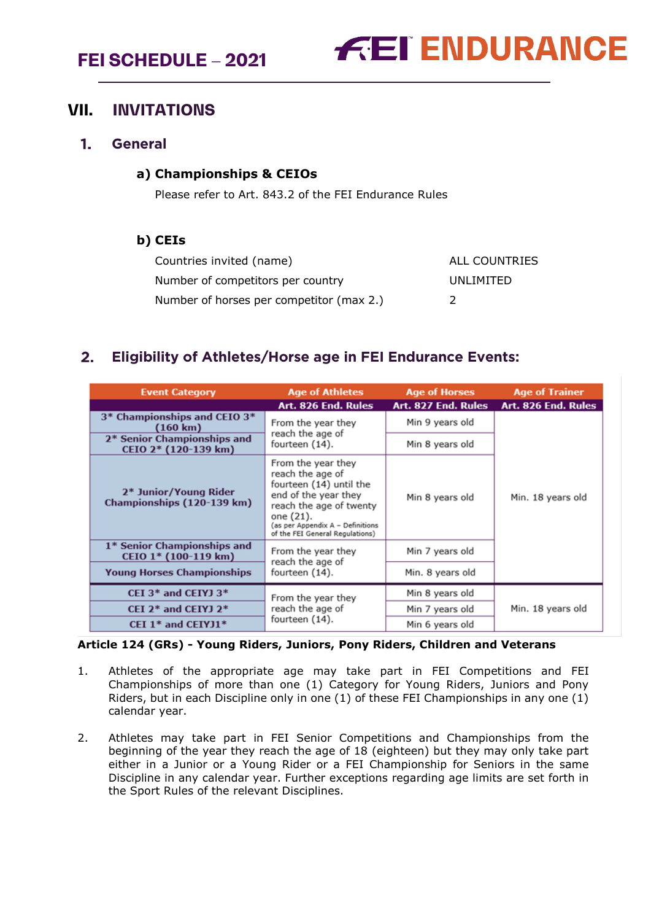

## <span id="page-5-0"></span>**VII. INVITATIONS**

#### <span id="page-5-1"></span> $1<sub>1</sub>$ **General**

#### **a) Championships & CEIOs**

Please refer to Art. 843.2 of the FEI Endurance Rules

#### **b) CEIs**

| Countries invited (name)                 | ALL COUNTRIES |
|------------------------------------------|---------------|
| Number of competitors per country        | UNLIMITED     |
| Number of horses per competitor (max 2.) |               |

# <span id="page-5-2"></span>**Eligibility of Athletes/Horse age in FEI Endurance Events:**

| <b>Event Category</b>                               | <b>Age of Athletes</b>                                                                                                                                                                                   | <b>Age of Horses</b> | <b>Age of Trainer</b> |
|-----------------------------------------------------|----------------------------------------------------------------------------------------------------------------------------------------------------------------------------------------------------------|----------------------|-----------------------|
|                                                     | Art. 826 End. Rules                                                                                                                                                                                      | Art. 827 End. Rules  | Art. 826 End. Rules   |
| 3* Championships and CEIO 3*<br>$(160 \text{ km})$  | From the year they                                                                                                                                                                                       | Min 9 years old      |                       |
| 2* Senior Championships and<br>CEIO 2* (120-139 km) | reach the age of<br>fourteen (14).                                                                                                                                                                       | Min 8 years old      |                       |
| 2* Junior/Young Rider<br>Championships (120-139 km) | From the year they<br>reach the age of<br>fourteen (14) until the<br>end of the year they<br>reach the age of twenty<br>one (21).<br>(as per Appendix A - Definitions<br>of the FEI General Regulations) | Min 8 years old      | Min. 18 years old     |
| 1* Senior Championships and<br>CEIO 1* (100-119 km) | From the year they<br>reach the age of                                                                                                                                                                   | Min 7 years old      |                       |
| <b>Young Horses Championships</b>                   | fourteen (14).                                                                                                                                                                                           | Min. 8 years old     |                       |
| CEI 3* and CEIYJ 3*                                 | From the year they                                                                                                                                                                                       | Min 8 years old      |                       |
| CEI $2^*$ and CEIYJ $2^*$                           | reach the age of                                                                                                                                                                                         | Min 7 years old      | Min. 18 years old     |
| CEI 1* and CEIYJ1*                                  | fourteen (14).                                                                                                                                                                                           | Min 6 years old      |                       |

#### **Article 124 (GRs) - Young Riders, Juniors, Pony Riders, Children and Veterans**

- 1. Athletes of the appropriate age may take part in FEI Competitions and FEI Championships of more than one (1) Category for Young Riders, Juniors and Pony Riders, but in each Discipline only in one (1) of these FEI Championships in any one (1) calendar year.
- 2. Athletes may take part in FEI Senior Competitions and Championships from the beginning of the year they reach the age of 18 (eighteen) but they may only take part either in a Junior or a Young Rider or a FEI Championship for Seniors in the same Discipline in any calendar year. Further exceptions regarding age limits are set forth in the Sport Rules of the relevant Disciplines.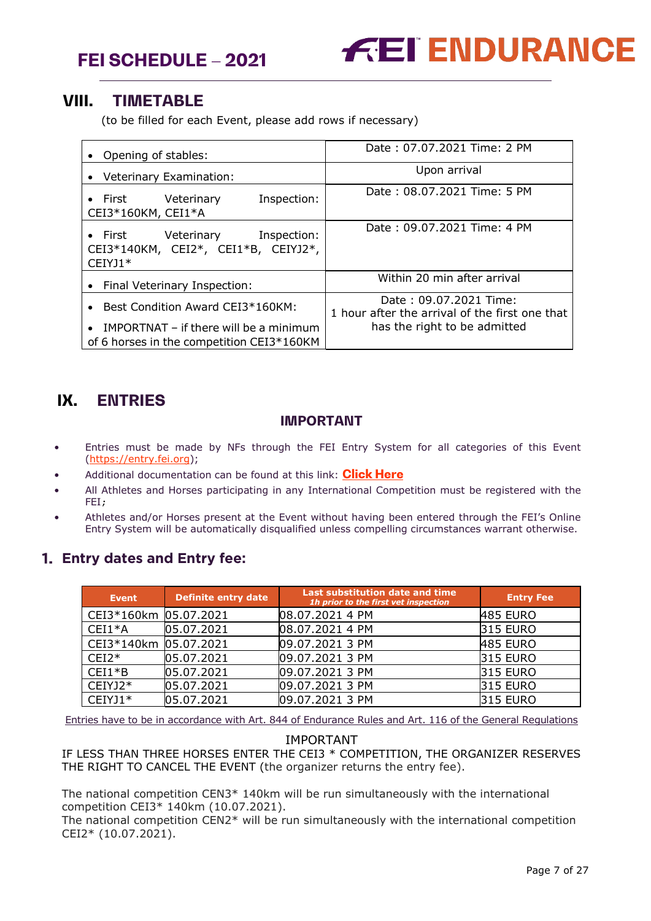

# <span id="page-6-0"></span>**VIII. TIMETABLE**

(to be filled for each Event, please add rows if necessary)

| Opening of stables:                                                                              | Date: 07.07.2021 Time: 2 PM                                                                              |
|--------------------------------------------------------------------------------------------------|----------------------------------------------------------------------------------------------------------|
| Veterinary Examination:                                                                          | Upon arrival                                                                                             |
| Inspection:<br>Veterinary<br>$\bullet$ First<br>CEI3*160KM, CEI1*A                               | Date: 08.07.2021 Time: 5 PM                                                                              |
| Inspection:<br>Veterinary<br>$\bullet$ First<br>CEI3*140KM, CEI2*, CEI1*B, CEIYJ2*,<br>$CEIYJ1*$ | Date: 09.07.2021 Time: 4 PM                                                                              |
| Final Veterinary Inspection:<br>$\bullet$                                                        | Within 20 min after arrival                                                                              |
| Best Condition Award CEI3*160KM:<br><b>IMPORTNAT</b> – if there will be a minimum<br>$\bullet$   | Date: 09.07.2021 Time:<br>1 hour after the arrival of the first one that<br>has the right to be admitted |
| of 6 horses in the competition CEI3*160KM                                                        |                                                                                                          |

# <span id="page-6-1"></span>**IX. ENTRIES**

#### **IMPORTANT**

- Entries must be made by NFs through the FEI Entry System for all categories of this Event [\(https://entry.fei.org\)](https://entry.fei.org/);
- Additional documentation can be found at this link: **[Click Here](https://inside.fei.org/fei/your-role/it-services/fei-entry-system/fei-entry-system-endurance)**
- All Athletes and Horses participating in any International Competition must be registered with the FEI;
- Athletes and/or Horses present at the Event without having been entered through the FEI's Online Entry System will be automatically disqualified unless compelling circumstances warrant otherwise.

## <span id="page-6-2"></span>**Entry dates and Entry fee:**

| <b>Event</b>          | <b>Definite entry date</b> | Last substitution date and time<br>1h prior to the first vet inspection | <b>Entry Fee</b> |
|-----------------------|----------------------------|-------------------------------------------------------------------------|------------------|
| CEI3*160km 05.07.2021 |                            | 08.07.2021 4 PM                                                         | <b>485 EURO</b>  |
| $CEI1*A$              | 05.07.2021                 | 08.07.2021 4 PM                                                         | <b>315 EURO</b>  |
| CEI3*140km 05.07.2021 |                            | 09.07.2021 3 PM                                                         | <b>485 EURO</b>  |
| $CEI2*$               | 05.07.2021                 | 09.07.2021 3 PM                                                         | <b>315 EURO</b>  |
| $CEI1*B$              | 05.07.2021                 | 09.07.2021 3 PM                                                         | <b>315 EURO</b>  |
| CEIYJ2*               | 05.07.2021                 | 09.07.2021 3 PM                                                         | <b>315 EURO</b>  |
| $CEIYJ1*$             | 05.07.2021                 | 09.07.2021 3 PM                                                         | <b>315 EURO</b>  |

Entries have to be in accordance with Art. 844 of Endurance Rules and Art. 116 of the General Regulations

#### IMPORTANT

IF LESS THAN THREE HORSES ENTER THE CEI3 \* COMPETITION, THE ORGANIZER RESERVES THE RIGHT TO CANCEL THE EVENT (the organizer returns the entry fee).

The national competition CEN3\* 140km will be run simultaneously with the international competition CEI3\* 140km (10.07.2021).

The national competition CEN2\* will be run simultaneously with the international competition CEI2\* (10.07.2021).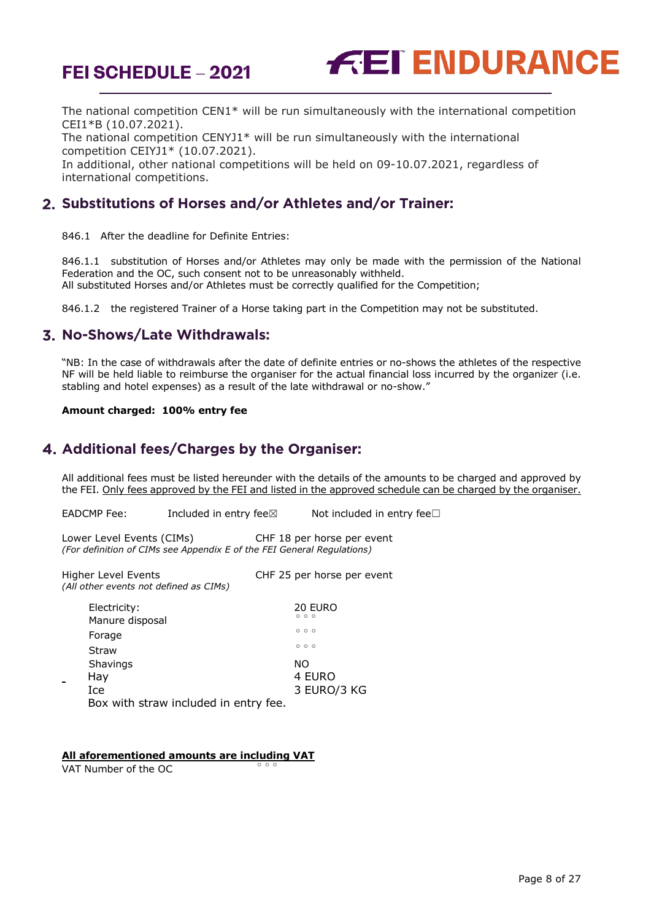

The national competition CEN1\* will be run simultaneously with the international competition CEI1\*B (10.07.2021).

The national competition CENYJ1\* will be run simultaneously with the international competition CEIYJ1\* (10.07.2021).

In additional, other national competitions will be held on 09-10.07.2021, regardless of international competitions.

## <span id="page-7-0"></span>**Substitutions of Horses and/or Athletes and/or Trainer:**

846.1 After the deadline for Definite Entries:

846.1.1 substitution of Horses and/or Athletes may only be made with the permission of the National Federation and the OC, such consent not to be unreasonably withheld. All substituted Horses and/or Athletes must be correctly qualified for the Competition;

846.1.2 the registered Trainer of a Horse taking part in the Competition may not be substituted.

## <span id="page-7-1"></span>**No-Shows/Late Withdrawals:**

"NB: In the case of withdrawals after the date of definite entries or no-shows the athletes of the respective NF will be held liable to reimburse the organiser for the actual financial loss incurred by the organizer (i.e. stabling and hotel expenses) as a result of the late withdrawal or no-show."

#### **Amount charged: 100% entry fee**

## <span id="page-7-2"></span>**Additional fees/Charges by the Organiser:**

All additional fees must be listed hereunder with the details of the amounts to be charged and approved by the FEI. Only fees approved by the FEI and listed in the approved schedule can be charged by the organiser.

EADCMP Fee: Included in entry fee⊠ Not included in entry fee□

Lower Level Events (CIMs) CHF 18 per horse per event *(For definition of CIMs see Appendix E of the FEI General Regulations)*

Higher Level Events CHF 25 per horse per event *(All other events not defined as CIMs)*

| Electricity:                          | 20 EURO<br>000 |
|---------------------------------------|----------------|
| Manure disposal                       |                |
| Forage                                | 000            |
| Straw                                 | 000            |
| Shavings                              | NO.            |
| Hay                                   | 4 EURO         |
| Ice                                   | 3 EURO/3 KG    |
| Box with straw included in entry fee. |                |

#### **All aforementioned amounts are including VAT**

VAT Number of the OC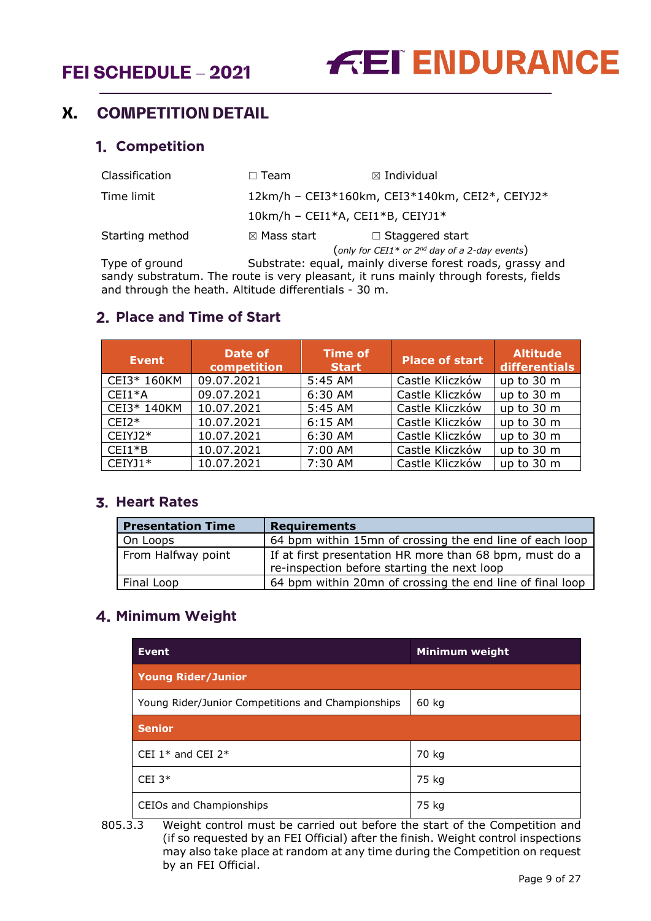# <span id="page-8-1"></span><span id="page-8-0"></span>**X. COMPETITION DETAIL**

#### **1. Competition**

| Classification  | Team                   | $\boxtimes$ Individual                                                               |  |  |
|-----------------|------------------------|--------------------------------------------------------------------------------------|--|--|
| Time limit      |                        | 12km/h - CEI3*160km, CEI3*140km, CEI2*, CEIYJ2*                                      |  |  |
|                 |                        | $10km/h$ - CEI1*A, CEI1*B, CEIYJ1*                                                   |  |  |
| Starting method | $\boxtimes$ Mass start | $\Box$ Staggered start                                                               |  |  |
|                 |                        | (only for CEI1* or $2^{nd}$ day of a 2-day events)                                   |  |  |
| Type of ground  |                        | Substrate: equal, mainly diverse forest roads, grassy and                            |  |  |
|                 |                        | sandy substratum. The route is very pleasant, it runs mainly through forests, fields |  |  |

and through the heath. Altitude differentials - 30 m.

## <span id="page-8-2"></span>**Place and Time of Start**

| <b>Event</b> | Date of<br>competition | <b>Time of</b><br><b>Start</b> | <b>Place of start</b> | <b>Altitude</b><br>differentials |
|--------------|------------------------|--------------------------------|-----------------------|----------------------------------|
| CEI3* 160KM  | 09.07.2021             | 5:45 AM                        | Castle Kliczków       | up to 30 m                       |
| $CEI1*A$     | 09.07.2021             | 6:30 AM                        | Castle Kliczków       | up to 30 m                       |
| CEI3* 140KM  | 10.07.2021             | 5:45 AM                        | Castle Kliczków       | up to 30 m                       |
| $CEI2*$      | 10.07.2021             | $6:15$ AM                      | Castle Kliczków       | up to 30 m                       |
| $CEIYJ2*$    | 10.07.2021             | 6:30 AM                        | Castle Kliczków       | up to 30 m                       |
| $CEI1*B$     | 10.07.2021             | 7:00 AM                        | Castle Kliczków       | up to 30 m                       |
| CEIYJ1*      | 10.07.2021             | 7:30 AM                        | Castle Kliczków       | up to 30 m                       |

## <span id="page-8-3"></span>**3. Heart Rates**

| <b>Presentation Time</b> | <b>Requirements</b>                                                                                    |
|--------------------------|--------------------------------------------------------------------------------------------------------|
| On Loops                 | 64 bpm within 15mn of crossing the end line of each loop                                               |
| From Halfway point       | If at first presentation HR more than 68 bpm, must do a<br>re-inspection before starting the next loop |
| Final Loop               | 64 bpm within 20mn of crossing the end line of final loop                                              |

# <span id="page-8-4"></span>**Minimum Weight**

| <b>Event</b>                                      | Minimum weight |
|---------------------------------------------------|----------------|
| <b>Young Rider/Junior</b>                         |                |
| Young Rider/Junior Competitions and Championships | 60 kg          |
| <b>Senior</b>                                     |                |
| CEI $1*$ and CEI $2*$                             | 70 kg          |
| CEI $3*$                                          | 75 kg          |
| CEIOs and Championships                           | 75 kg          |

805.3.3 Weight control must be carried out before the start of the Competition and (if so requested by an FEI Official) after the finish. Weight control inspections may also take place at random at any time during the Competition on request by an FEI Official.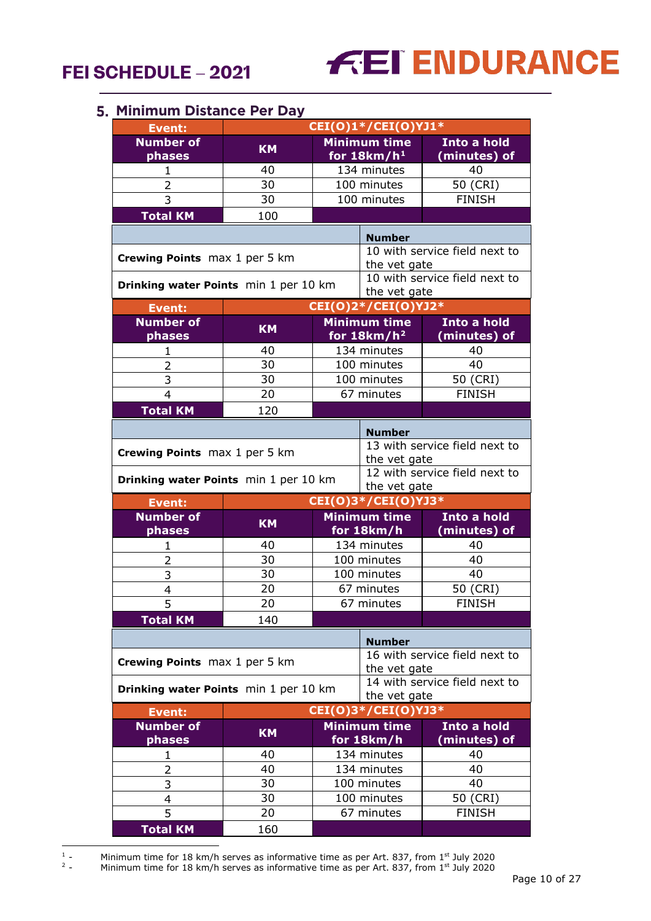# **FEI ENDURANCE**

#### <span id="page-9-0"></span>**Minimum Distance Per Day**

| <b>Event:</b>                                                                          |                               |                                      | CEI(0)1*/CEI(0)YJ1*               |                               |  |
|----------------------------------------------------------------------------------------|-------------------------------|--------------------------------------|-----------------------------------|-------------------------------|--|
| <b>Number of</b><br>phases                                                             | <b>KM</b>                     | <b>Minimum time</b><br>for $18km/h1$ |                                   | Into a hold<br>(minutes) of   |  |
| 1                                                                                      | 40                            | 134 minutes                          |                                   | 40                            |  |
| $\overline{2}$                                                                         | 30                            |                                      | 100 minutes                       | 50 (CRI)                      |  |
| 3                                                                                      | 30                            |                                      | 100 minutes                       | <b>FINISH</b>                 |  |
| <b>Total KM</b>                                                                        | 100                           |                                      |                                   |                               |  |
|                                                                                        |                               |                                      | <b>Number</b>                     |                               |  |
| Crewing Points max 1 per 5 km                                                          |                               |                                      | the vet gate                      | 10 with service field next to |  |
| Drinking water Points min 1 per 10 km                                                  |                               |                                      | the vet gate                      | 10 with service field next to |  |
| <b>Event:</b>                                                                          |                               |                                      | CEI(0)2*/CEI(0)YJ2*               |                               |  |
| <b>Number of</b><br>phases                                                             | <b>KM</b>                     |                                      | Minimum time<br>for $18km/h^2$    | Into a hold<br>(minutes) of   |  |
| 1                                                                                      | 40                            |                                      | 134 minutes                       | 40                            |  |
| 2                                                                                      | 30                            |                                      | 100 minutes                       | 40                            |  |
| 3                                                                                      | 30                            |                                      | 100 minutes                       | 50 (CRI)                      |  |
| 4                                                                                      | 20                            |                                      | 67 minutes                        | <b>FINISH</b>                 |  |
| <b>Total KM</b>                                                                        | 120                           |                                      |                                   |                               |  |
| <b>Number</b>                                                                          |                               |                                      |                                   |                               |  |
| Crewing Points max 1 per 5 km                                                          |                               | the vet gate                         | 13 with service field next to     |                               |  |
| 12 with service field next to<br>Drinking water Points min 1 per 10 km<br>the vet gate |                               |                                      |                                   |                               |  |
| <b>Event:</b>                                                                          |                               |                                      | CEI(0)3*/CEI(0)YJ3*               |                               |  |
| <b>Number of</b><br>phases                                                             | <b>KM</b>                     |                                      | <b>Minimum time</b><br>for 18km/h | Into a hold<br>(minutes) of   |  |
| 1                                                                                      | 40                            |                                      | 134 minutes                       | 40                            |  |
| $\overline{2}$                                                                         | 30                            |                                      | 100 minutes                       | 40                            |  |
| 3                                                                                      | $\overline{30}$               |                                      | 100 minutes                       | 40                            |  |
| $\overline{\mathbf{4}}$                                                                | 20                            |                                      | 67 minutes                        | 50 (CRI)                      |  |
| 5                                                                                      | 20                            |                                      | 67 minutes                        | <b>FINISH</b>                 |  |
| <b>Total KM</b>                                                                        | 140                           |                                      |                                   |                               |  |
|                                                                                        |                               |                                      | <b>Number</b>                     |                               |  |
|                                                                                        | Crewing Points max 1 per 5 km |                                      | the vet gate                      | 16 with service field next to |  |
| Drinking water Points min 1 per 10 km                                                  |                               | the vet gate                         | 14 with service field next to     |                               |  |
| <b>Event:</b>                                                                          |                               |                                      | CEI(0)3*/CEI(0)YJ3*               |                               |  |
| <b>Number of</b><br>phases                                                             | <b>KM</b>                     |                                      | <b>Minimum time</b><br>for 18km/h | Into a hold<br>(minutes) of   |  |
| $\mathbf 1$                                                                            | 40                            |                                      | 134 minutes                       | 40                            |  |
| 2                                                                                      | 40                            |                                      | 134 minutes                       | 40                            |  |
| 3                                                                                      | 30                            |                                      | 100 minutes                       | 40                            |  |
| 4                                                                                      | 30                            |                                      | 100 minutes                       | 50 (CRI)                      |  |
| 5                                                                                      | 20                            |                                      | 67 minutes                        | <b>FINISH</b>                 |  |
| <b>Total KM</b>                                                                        | 160                           |                                      |                                   |                               |  |

<span id="page-9-2"></span><span id="page-9-1"></span> $\frac{1}{2}$  .

<sup>1</sup> - Minimum time for 18 km/h serves as informative time as per Art. 837, from 1<sup>st</sup> July 2020

<sup>&</sup>lt;sup>2</sup> - Minimum time for 18 km/h serves as informative time as per Art. 837, from 1<sup>st</sup> July 2020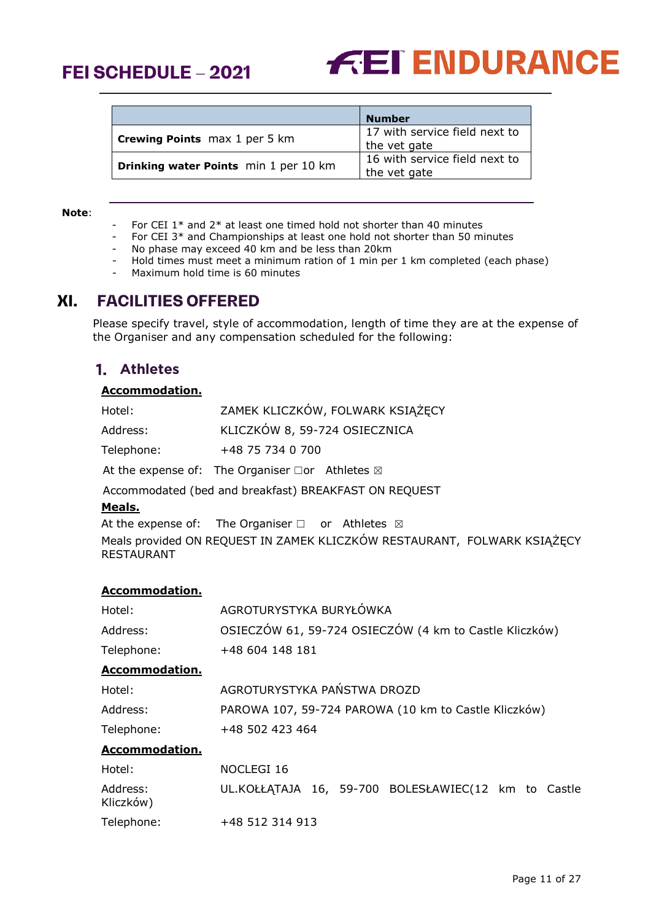



|                                       | <b>Number</b>                                 |
|---------------------------------------|-----------------------------------------------|
| <b>Crewing Points</b> max 1 per 5 km  | 17 with service field next to<br>the vet gate |
| Drinking water Points min 1 per 10 km | 16 with service field next to<br>the vet gate |

#### **Note**:

- For CEI  $1*$  and  $2*$  at least one timed hold not shorter than 40 minutes
- For CEI 3<sup>\*</sup> and Championships at least one hold not shorter than 50 minutes
- No phase may exceed 40 km and be less than 20km
- Hold times must meet a minimum ration of 1 min per 1 km completed (each phase)
- Maximum hold time is 60 minutes

# <span id="page-10-0"></span>**XI. FACILITIES OFFERED**

Please specify travel, style of accommodation, length of time they are at the expense of the Organiser and any compensation scheduled for the following:

## <span id="page-10-1"></span>**Athletes**

#### **Accommodation.**

| Hotel:     | ZAMEK KLICZKÓW, FOLWARK KSIĄŻĘCY                                |
|------------|-----------------------------------------------------------------|
| Address:   | KLICZKÓW 8, 59-724 OSIECZNICA                                   |
| Telephone: | +48 75 734 0 700                                                |
|            | At the expense of: The Organiser $\Box$ or Athletes $\boxtimes$ |

Accommodated (bed and breakfast) BREAKFAST ON REQUEST

#### **Meals.**

At the expense of: The Organiser  $□$  or Athletes  $□$ 

Meals provided ON REQUEST IN ZAMEK KLICZKÓW RESTAURANT, FOLWARK KSIĄŻĘCY RESTAURANT

#### **Accommodation.**

| Hotel:                | AGROTURYSTYKA BURYŁÓWKA                                |  |  |
|-----------------------|--------------------------------------------------------|--|--|
| Address:              | OSIECZÓW 61, 59-724 OSIECZÓW (4 km to Castle Kliczków) |  |  |
| Telephone:            | +48 604 148 181                                        |  |  |
| Accommodation.        |                                                        |  |  |
| Hotel:                | AGROTURYSTYKA PAŃSTWA DROZD                            |  |  |
| Address:              | PAROWA 107, 59-724 PAROWA (10 km to Castle Kliczków)   |  |  |
| Telephone:            | +48 502 423 464                                        |  |  |
| <b>Accommodation.</b> |                                                        |  |  |
| Hotel:                | NOCLEGI 16                                             |  |  |
| Address:<br>Kliczków) | UL.KOŁŁĄTAJA 16, 59-700 BOLESŁAWIEC(12 km to Castle    |  |  |
| Telephone:            | +48 512 314 913                                        |  |  |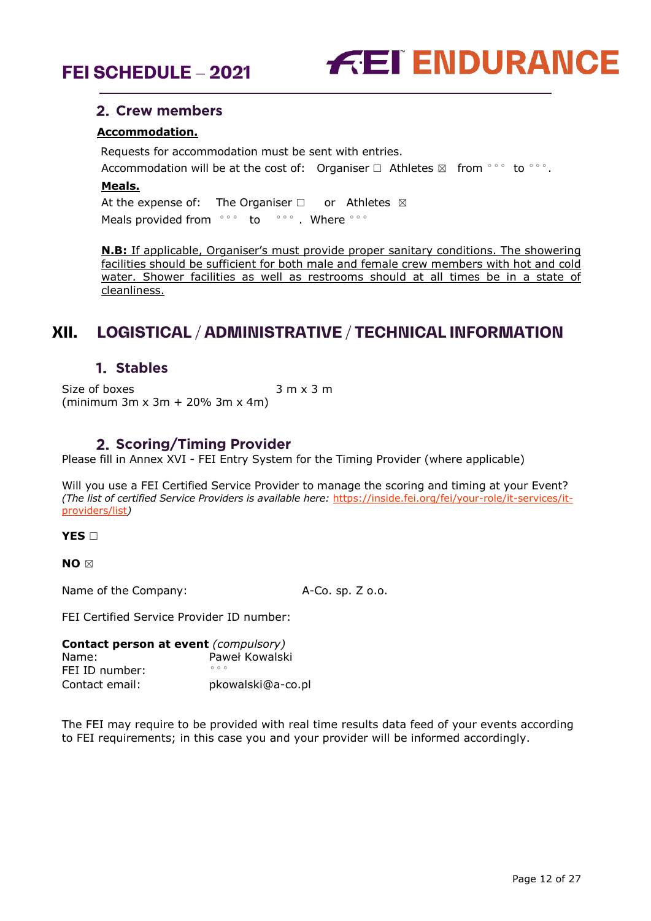



#### <span id="page-11-0"></span>**Crew members**

#### **Accommodation.**

Requests for accommodation must be sent with entries. Accommodation will be at the cost of: Organiser  $\Box$  Athletes  $\boxtimes$  from °°° to °°°. **Meals.** At the expense of: The Organiser  $□$  or Athletes  $□$ Meals provided from °°° to °°° . Where °°°

**N.B:** If applicable, Organiser's must provide proper sanitary conditions. The showering facilities should be sufficient for both male and female crew members with hot and cold water. Shower facilities as well as restrooms should at all times be in a state of cleanliness.

# <span id="page-11-1"></span>**XII. LOGISTICAL / ADMINISTRATIVE / TECHNICAL INFORMATION**

#### **Stables**

<span id="page-11-2"></span>Size of boxes 3 m x 3 m (minimum 3m x 3m + 20% 3m x 4m)

#### **2. Scoring/Timing Provider**

<span id="page-11-3"></span>Please fill in Annex XVI - FEI Entry System for the Timing Provider (where applicable)

Will you use a FEI Certified Service Provider to manage the scoring and timing at your Event? *(The list of certified Service Providers is available here:* [https://inside.fei.org/fei/your-role/it-services/it](https://inside.fei.org/fei/your-role/it-services/it-providers/list)[providers/list](https://inside.fei.org/fei/your-role/it-services/it-providers/list)*)*

**YES** □

**NO** ☒

Name of the Company: A-Co. sp. Z o.o.

FEI Certified Service Provider ID number:

| <b>Contact person at event (compulsory)</b> |                   |  |
|---------------------------------------------|-------------------|--|
| Name:                                       | Paweł Kowalski    |  |
| FEI ID number:                              | 000               |  |
| Contact email:                              | pkowalski@a-co.pl |  |

The FEI may require to be provided with real time results data feed of your events according to FEI requirements; in this case you and your provider will be informed accordingly.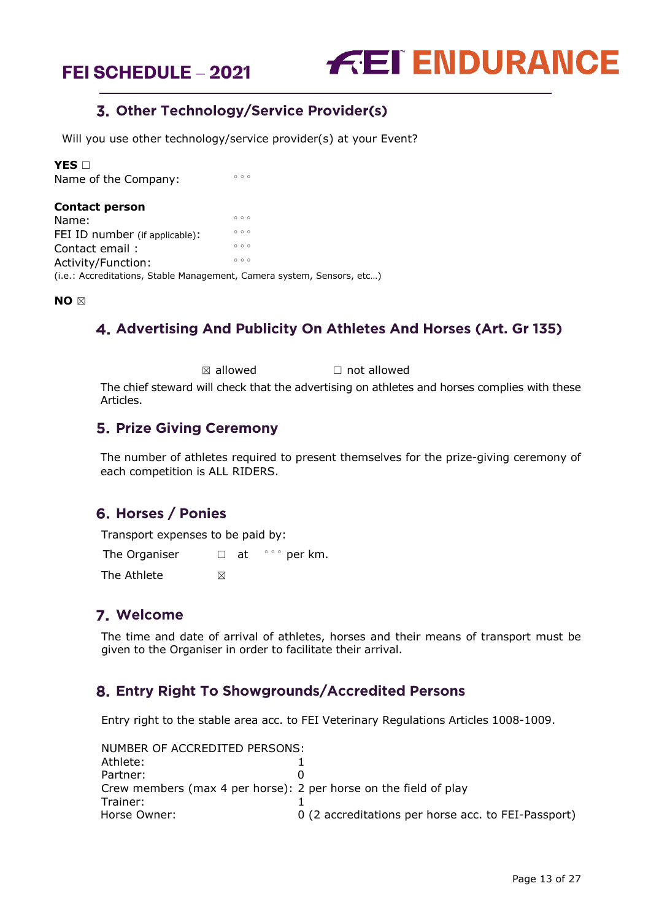

# **Other Technology/Service Provider(s)**

<span id="page-12-0"></span>Will you use other technology/service provider(s) at your Event?

**YES** □

Name of the Company:

| <b>Contact person</b>                                                  |     |
|------------------------------------------------------------------------|-----|
| Name:                                                                  | 000 |
| FEI ID number (if applicable):                                         | 000 |
| Contact email:                                                         | 000 |
| Activity/Function:                                                     | 000 |
| (i.e.: Accreditations, Stable Management, Camera system, Sensors, etc) |     |

<span id="page-12-1"></span>**NO** ☒

# **Advertising And Publicity On Athletes And Horses (Art. Gr 135)**

 $\boxtimes$  allowed  $\Box$  not allowed

The chief steward will check that the advertising on athletes and horses complies with these Articles.

#### <span id="page-12-2"></span>**5. Prize Giving Ceremony**

The number of athletes required to present themselves for the prize-giving ceremony of each competition is ALL RIDERS.

## <span id="page-12-3"></span>**Horses / Ponies**

Transport expenses to be paid by:

The Organiser  $□$  at  $\degree$  $\degree$  per km. The Athlete  $\boxtimes$ 

## <span id="page-12-4"></span>**Welcome**

The time and date of arrival of athletes, horses and their means of transport must be given to the Organiser in order to facilitate their arrival.

## <span id="page-12-5"></span>**Entry Right To Showgrounds/Accredited Persons**

Entry right to the stable area acc. to FEI Veterinary Regulations Articles 1008-1009.

| NUMBER OF ACCREDITED PERSONS:                                    |                                                     |
|------------------------------------------------------------------|-----------------------------------------------------|
| Athlete:                                                         |                                                     |
| Partner:                                                         |                                                     |
| Crew members (max 4 per horse): 2 per horse on the field of play |                                                     |
| Trainer:                                                         |                                                     |
| Horse Owner:                                                     | 0 (2 accreditations per horse acc. to FEI-Passport) |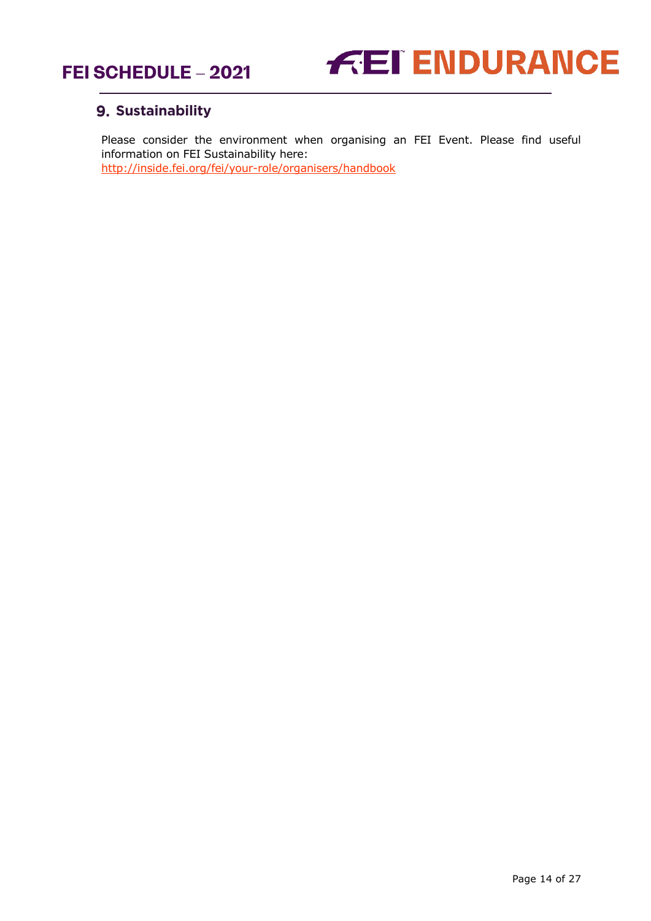



# <span id="page-13-0"></span>**9. Sustainability**

Please consider the environment when organising an FEI Event. Please find useful information on FEI Sustainability here: <http://inside.fei.org/fei/your-role/organisers/handbook>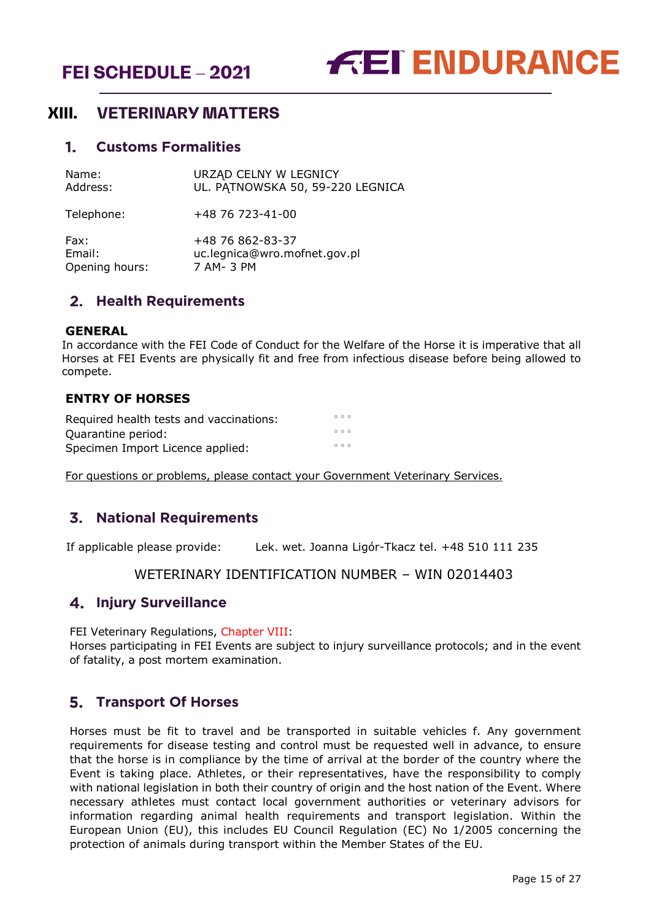



# <span id="page-14-0"></span>**XIII. VETERINARY MATTERS**

#### <span id="page-14-1"></span>**Customs Formalities**

| Name:      | URZĄD CELNY W LEGNICY            |
|------------|----------------------------------|
| Address:   | UL. PATNOWSKA 50, 59-220 LEGNICA |
| Telephone: | +48 76 723-41-00                 |

Fax: +48 76 862-83-37 Email: uc.legnica@wro.mofnet.gov.pl Opening hours: 7 AM- 3 PM

#### <span id="page-14-2"></span>**Health Requirements**

#### **GENERAL**

In accordance with the FEI Code of Conduct for the Welfare of the Horse it is imperative that all Horses at FEI Events are physically fit and free from infectious disease before being allowed to compete.

#### **ENTRY OF HORSES**

| Required health tests and vaccinations: | 000 |  |
|-----------------------------------------|-----|--|
| Quarantine period:                      | 000 |  |
| Specimen Import Licence applied:        | 000 |  |

For questions or problems, please contact your Government Veterinary Services.

## <span id="page-14-3"></span>**National Requirements**

If applicable please provide: Lek. wet. Joanna Ligór-Tkacz tel. +48 510 111 235

#### WETERINARY IDENTIFICATION NUMBER – WIN 02014403

#### <span id="page-14-4"></span>**Injury Surveillance**

FEI Veterinary Regulations, Chapter VIII:

Horses participating in FEI Events are subject to injury surveillance protocols; and in the event of fatality, a post mortem examination.

#### <span id="page-14-5"></span>**Transport Of Horses**

Horses must be fit to travel and be transported in suitable vehicles f. Any government requirements for disease testing and control must be requested well in advance, to ensure that the horse is in compliance by the time of arrival at the border of the country where the Event is taking place. Athletes, or their representatives, have the responsibility to comply with national legislation in both their country of origin and the host nation of the Event. Where necessary athletes must contact local government authorities or veterinary advisors for information regarding animal health requirements and transport legislation. Within the European Union (EU), this includes EU Council Regulation (EC) No 1/2005 concerning the protection of animals during transport within the Member States of the EU.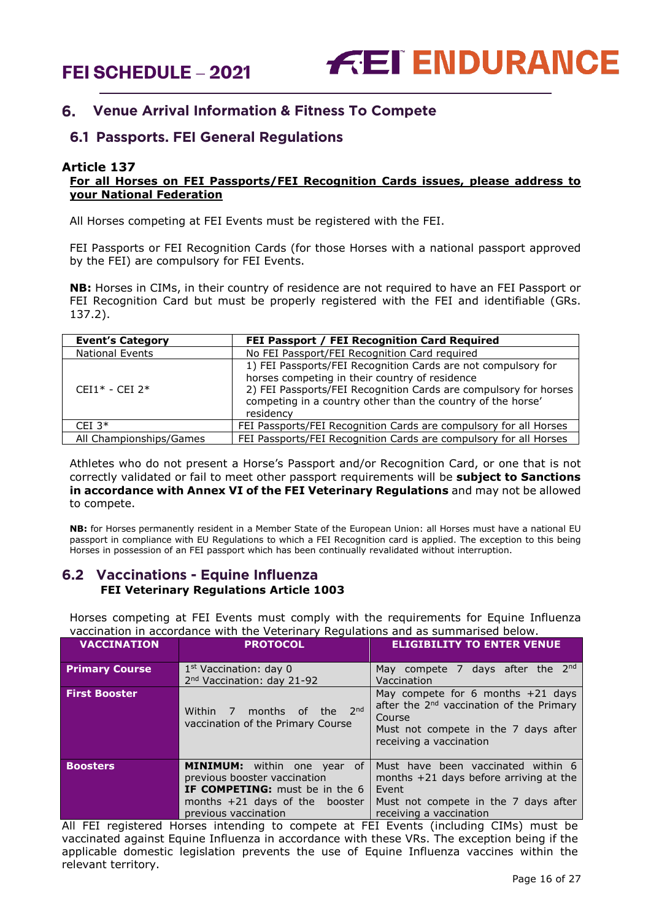

#### <span id="page-15-0"></span>**Venue Arrival Information & Fitness To Compete** 6.

#### **6.1 Passports. FEI General Regulations**

#### **Article 137**

#### **For all Horses on FEI Passports/FEI Recognition Cards issues, please address to your National Federation**

All Horses competing at FEI Events must be registered with the FEI.

FEI Passports or FEI Recognition Cards (for those Horses with a national passport approved by the FEI) are compulsory for FEI Events.

**NB:** Horses in CIMs, in their country of residence are not required to have an FEI Passport or FEI Recognition Card but must be properly registered with the FEI and identifiable (GRs. 137.2).

| <b>Event's Category</b> | FEI Passport / FEI Recognition Card Required                                                                                                                                                                                                                    |
|-------------------------|-----------------------------------------------------------------------------------------------------------------------------------------------------------------------------------------------------------------------------------------------------------------|
| <b>National Events</b>  | No FEI Passport/FEI Recognition Card required                                                                                                                                                                                                                   |
| $CFI1* - CFI 2*$        | 1) FEI Passports/FEI Recognition Cards are not compulsory for<br>horses competing in their country of residence<br>2) FEI Passports/FEI Recognition Cards are compulsory for horses<br>competing in a country other than the country of the horse'<br>residency |
| CEI $3*$                | FEI Passports/FEI Recognition Cards are compulsory for all Horses                                                                                                                                                                                               |
| All Championships/Games | FEI Passports/FEI Recognition Cards are compulsory for all Horses                                                                                                                                                                                               |

Athletes who do not present a Horse's Passport and/or Recognition Card, or one that is not correctly validated or fail to meet other passport requirements will be **subject to Sanctions in accordance with Annex VI of the FEI Veterinary Regulations** and may not be allowed to compete.

**NB:** for Horses permanently resident in a Member State of the European Union: all Horses must have a national EU passport in compliance with EU Regulations to which a FEI Recognition card is applied. The exception to this being Horses in possession of an FEI passport which has been continually revalidated without interruption.

#### **6.2 Vaccinations - Equine Influenza FEI Veterinary Regulations Article 1003**

Horses competing at FEI Events must comply with the requirements for Equine Influenza vaccination in accordance with the Veterinary Regulations and as summarised below.

| <b>VACCINATION</b>    | <b>PROTOCOL</b>                                                                                                                                                         | <b>ELIGIBILITY TO ENTER VENUE</b>                                                                                                                                        |
|-----------------------|-------------------------------------------------------------------------------------------------------------------------------------------------------------------------|--------------------------------------------------------------------------------------------------------------------------------------------------------------------------|
| <b>Primary Course</b> | 1 <sup>st</sup> Vaccination: day 0<br>2 <sup>nd</sup> Vaccination: day 21-92                                                                                            | May compete 7 days after the 2nd<br>Vaccination                                                                                                                          |
| <b>First Booster</b>  | months of the 2nd<br>Within 7<br>vaccination of the Primary Course                                                                                                      | May compete for 6 months $+21$ days<br>after the 2 <sup>nd</sup> vaccination of the Primary<br>Course<br>Must not compete in the 7 days after<br>receiving a vaccination |
| <b>Boosters</b>       | <b>MINIMUM:</b> within one year of<br>previous booster vaccination<br><b>IF COMPETING:</b> must be in the 6<br>months $+21$ days of the booster<br>previous vaccination | Must have been vaccinated within 6<br>months $+21$ days before arriving at the<br>Event<br>Must not compete in the 7 days after<br>receiving a vaccination               |

All FEI registered Horses intending to compete at FEI Events (including CIMs) must be vaccinated against Equine Influenza in accordance with these VRs. The exception being if the applicable domestic legislation prevents the use of Equine Influenza vaccines within the relevant territory.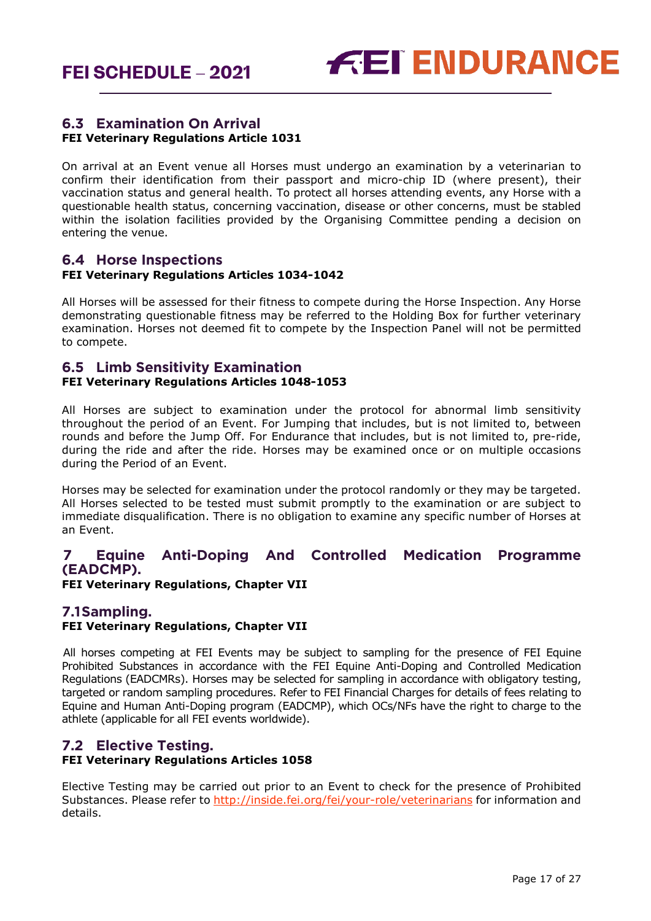

#### **6.3 Examination On Arrival FEI Veterinary Regulations Article 1031**

On arrival at an Event venue all Horses must undergo an examination by a veterinarian to confirm their identification from their passport and micro-chip ID (where present), their vaccination status and general health. To protect all horses attending events, any Horse with a questionable health status, concerning vaccination, disease or other concerns, must be stabled within the isolation facilities provided by the Organising Committee pending a decision on entering the venue.

#### **6.4 Horse Inspections FEI Veterinary Regulations Articles 1034-1042**

All Horses will be assessed for their fitness to compete during the Horse Inspection. Any Horse demonstrating questionable fitness may be referred to the Holding Box for further veterinary examination. Horses not deemed fit to compete by the Inspection Panel will not be permitted to compete.

#### **6.5 Limb Sensitivity Examination FEI Veterinary Regulations Articles 1048-1053**

All Horses are subject to examination under the protocol for abnormal limb sensitivity throughout the period of an Event. For Jumping that includes, but is not limited to, between rounds and before the Jump Off. For Endurance that includes, but is not limited to, pre-ride, during the ride and after the ride. Horses may be examined once or on multiple occasions during the Period of an Event.

Horses may be selected for examination under the protocol randomly or they may be targeted. All Horses selected to be tested must submit promptly to the examination or are subject to immediate disqualification. There is no obligation to examine any specific number of Horses at an Event.

#### <span id="page-16-0"></span>**7 Equine Anti-Doping And Controlled Medication Programme (EADCMP).**

**FEI Veterinary Regulations, Chapter VII**

#### **7.1Sampling.**

#### **FEI Veterinary Regulations, Chapter VII**

All horses competing at FEI Events may be subject to sampling for the presence of FEI Equine Prohibited Substances in accordance with the FEI Equine Anti-Doping and Controlled Medication Regulations (EADCMRs). Horses may be selected for sampling in accordance with obligatory testing, targeted or random sampling procedures. Refer to FEI Financial Charges for details of fees relating to Equine and Human Anti-Doping program (EADCMP), which OCs/NFs have the right to charge to the athlete (applicable for all FEI events worldwide).

#### **7.2 Elective Testing. FEI Veterinary Regulations Articles 1058**

Elective Testing may be carried out prior to an Event to check for the presence of Prohibited Substances. Please refer to<http://inside.fei.org/fei/your-role/veterinarians> for information and details.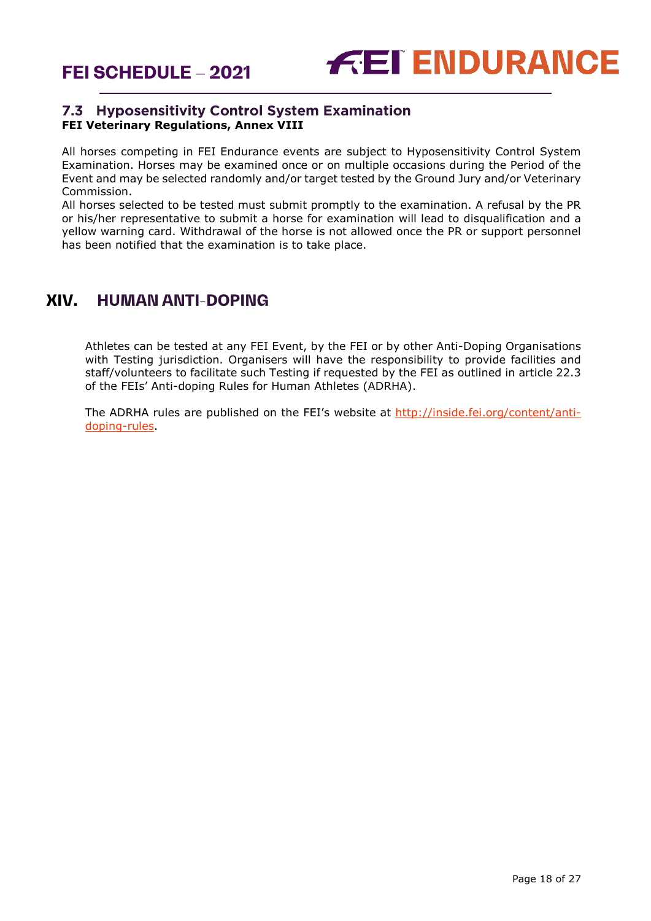

#### **7.3 Hyposensitivity Control System Examination FEI Veterinary Regulations, Annex VIII**

All horses competing in FEI Endurance events are subject to Hyposensitivity Control System Examination. Horses may be examined once or on multiple occasions during the Period of the Event and may be selected randomly and/or target tested by the Ground Jury and/or Veterinary Commission.

All horses selected to be tested must submit promptly to the examination. A refusal by the PR or his/her representative to submit a horse for examination will lead to disqualification and a yellow warning card. Withdrawal of the horse is not allowed once the PR or support personnel has been notified that the examination is to take place.

# <span id="page-17-0"></span>**XIV. HUMAN ANTI-DOPING**

Athletes can be tested at any FEI Event, by the FEI or by other Anti-Doping Organisations with Testing jurisdiction. Organisers will have the responsibility to provide facilities and staff/volunteers to facilitate such Testing if requested by the FEI as outlined in article 22.3 of the FEIs' Anti-doping Rules for Human Athletes (ADRHA).

The ADRHA rules are published on the FEI's website at [http://inside.fei.org/content/anti](http://inside.fei.org/content/anti-doping-rules)[doping-rules.](http://inside.fei.org/content/anti-doping-rules)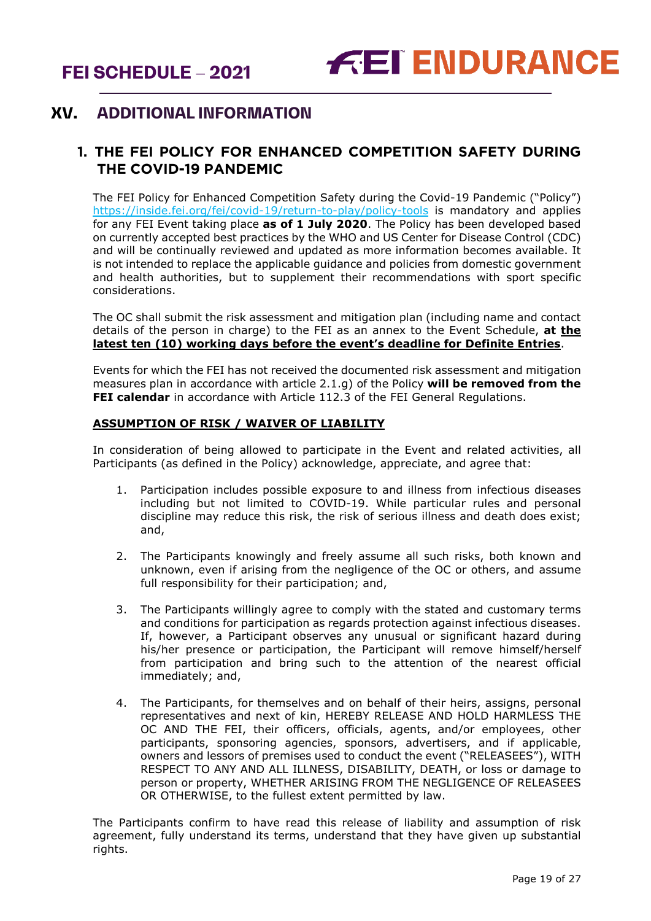# <span id="page-18-0"></span>**XV. ADDITIONAL INFORMATION**

## <span id="page-18-1"></span>**1. THE FEI POLICY FOR ENHANCED COMPETITION SAFETY DURING THE COVID-19 PANDEMIC**

The FEI Policy for Enhanced Competition Safety during the Covid-19 Pandemic ("Policy") <https://inside.fei.org/fei/covid-19/return-to-play/policy-tools> is mandatory and applies for any FEI Event taking place **as of 1 July 2020**. The Policy has been developed based on currently accepted best practices by the WHO and US Center for Disease Control (CDC) and will be continually reviewed and updated as more information becomes available. It is not intended to replace the applicable guidance and policies from domestic government and health authorities, but to supplement their recommendations with sport specific considerations.

The OC shall submit the risk assessment and mitigation plan (including name and contact details of the person in charge) to the FEI as an annex to the Event Schedule, **at the latest ten (10) working days before the event's deadline for Definite Entries**.

Events for which the FEI has not received the documented risk assessment and mitigation measures plan in accordance with article 2.1.g) of the Policy **will be removed from the FEI calendar** in accordance with Article 112.3 of the FEI General Regulations.

#### **ASSUMPTION OF RISK / WAIVER OF LIABILITY**

In consideration of being allowed to participate in the Event and related activities, all Participants (as defined in the Policy) acknowledge, appreciate, and agree that:

- 1. Participation includes possible exposure to and illness from infectious diseases including but not limited to COVID-19. While particular rules and personal discipline may reduce this risk, the risk of serious illness and death does exist; and,
- 2. The Participants knowingly and freely assume all such risks, both known and unknown, even if arising from the negligence of the OC or others, and assume full responsibility for their participation; and,
- 3. The Participants willingly agree to comply with the stated and customary terms and conditions for participation as regards protection against infectious diseases. If, however, a Participant observes any unusual or significant hazard during his/her presence or participation, the Participant will remove himself/herself from participation and bring such to the attention of the nearest official immediately; and,
- 4. The Participants, for themselves and on behalf of their heirs, assigns, personal representatives and next of kin, HEREBY RELEASE AND HOLD HARMLESS THE OC AND THE FEI, their officers, officials, agents, and/or employees, other participants, sponsoring agencies, sponsors, advertisers, and if applicable, owners and lessors of premises used to conduct the event ("RELEASEES"), WITH RESPECT TO ANY AND ALL ILLNESS, DISABILITY, DEATH, or loss or damage to person or property, WHETHER ARISING FROM THE NEGLIGENCE OF RELEASEES OR OTHERWISE, to the fullest extent permitted by law.

The Participants confirm to have read this release of liability and assumption of risk agreement, fully understand its terms, understand that they have given up substantial rights.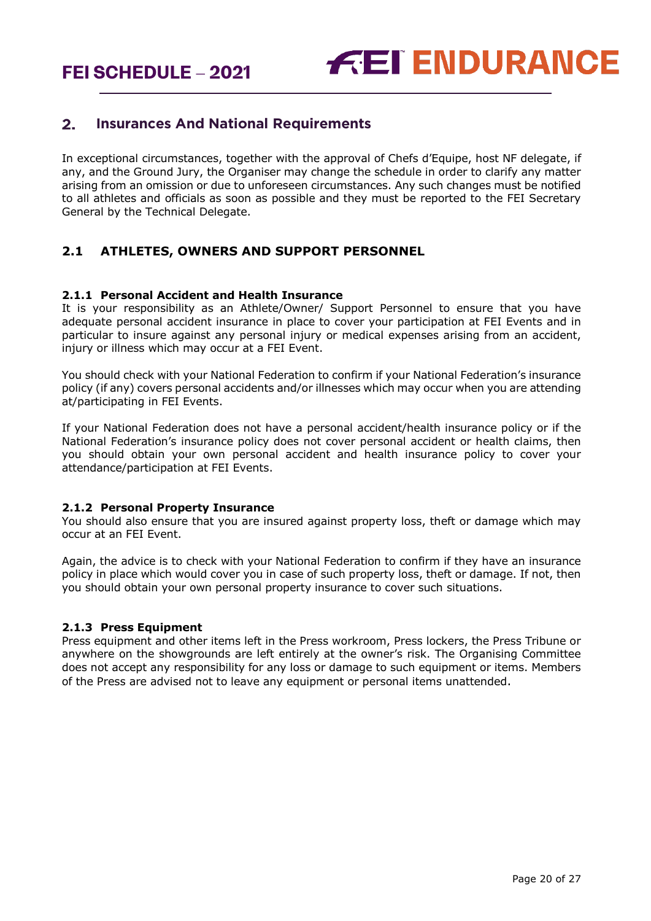#### <span id="page-19-0"></span> $2.$ **Insurances And National Requirements**

In exceptional circumstances, together with the approval of Chefs d'Equipe, host NF delegate, if any, and the Ground Jury, the Organiser may change the schedule in order to clarify any matter arising from an omission or due to unforeseen circumstances. Any such changes must be notified to all athletes and officials as soon as possible and they must be reported to the FEI Secretary General by the Technical Delegate.

#### **2.1 ATHLETES, OWNERS AND SUPPORT PERSONNEL**

#### **2.1.1 Personal Accident and Health Insurance**

It is your responsibility as an Athlete/Owner/ Support Personnel to ensure that you have adequate personal accident insurance in place to cover your participation at FEI Events and in particular to insure against any personal injury or medical expenses arising from an accident, injury or illness which may occur at a FEI Event.

You should check with your National Federation to confirm if your National Federation's insurance policy (if any) covers personal accidents and/or illnesses which may occur when you are attending at/participating in FEI Events.

If your National Federation does not have a personal accident/health insurance policy or if the National Federation's insurance policy does not cover personal accident or health claims, then you should obtain your own personal accident and health insurance policy to cover your attendance/participation at FEI Events.

#### **2.1.2 Personal Property Insurance**

You should also ensure that you are insured against property loss, theft or damage which may occur at an FEI Event.

Again, the advice is to check with your National Federation to confirm if they have an insurance policy in place which would cover you in case of such property loss, theft or damage. If not, then you should obtain your own personal property insurance to cover such situations.

#### **2.1.3 Press Equipment**

Press equipment and other items left in the Press workroom, Press lockers, the Press Tribune or anywhere on the showgrounds are left entirely at the owner's risk. The Organising Committee does not accept any responsibility for any loss or damage to such equipment or items. Members of the Press are advised not to leave any equipment or personal items unattended.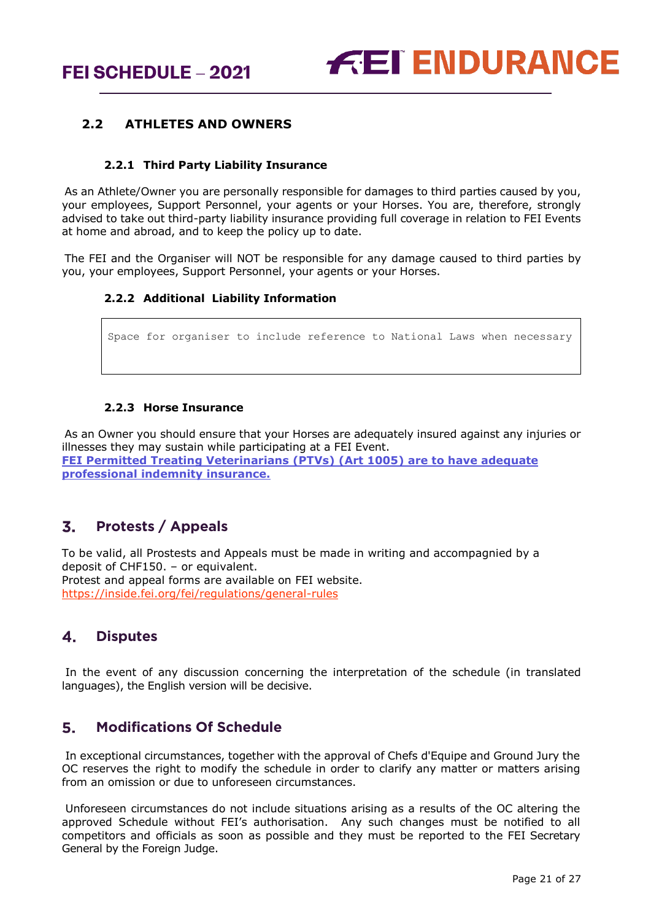#### **2.2 ATHLETES AND OWNERS**

#### **2.2.1 Third Party Liability Insurance**

As an Athlete/Owner you are personally responsible for damages to third parties caused by you, your employees, Support Personnel, your agents or your Horses. You are, therefore, strongly advised to take out third-party liability insurance providing full coverage in relation to FEI Events at home and abroad, and to keep the policy up to date.

The FEI and the Organiser will NOT be responsible for any damage caused to third parties by you, your employees, Support Personnel, your agents or your Horses.

#### **2.2.2 Additional Liability Information**

Space for organiser to include reference to National Laws when necessary

#### **2.2.3 Horse Insurance**

As an Owner you should ensure that your Horses are adequately insured against any injuries or illnesses they may sustain while participating at a FEI Event. **FEI Permitted Treating Veterinarians (PTVs) (Art 1005) are to have adequate professional indemnity insurance.**

#### <span id="page-20-0"></span> $\overline{3}$ . **Protests / Appeals**

To be valid, all Prostests and Appeals must be made in writing and accompagnied by a deposit of CHF150. – or equivalent. Protest and appeal forms are available on FEI website. <https://inside.fei.org/fei/regulations/general-rules>

#### <span id="page-20-1"></span> $\mathbf{4}$ . **Disputes**

In the event of any discussion concerning the interpretation of the schedule (in translated languages), the English version will be decisive.

#### <span id="page-20-2"></span>**Modifications Of Schedule**  $5<sup>1</sup>$

In exceptional circumstances, together with the approval of Chefs d'Equipe and Ground Jury the OC reserves the right to modify the schedule in order to clarify any matter or matters arising from an omission or due to unforeseen circumstances.

Unforeseen circumstances do not include situations arising as a results of the OC altering the approved Schedule without FEI's authorisation. Any such changes must be notified to all competitors and officials as soon as possible and they must be reported to the FEI Secretary General by the Foreign Judge.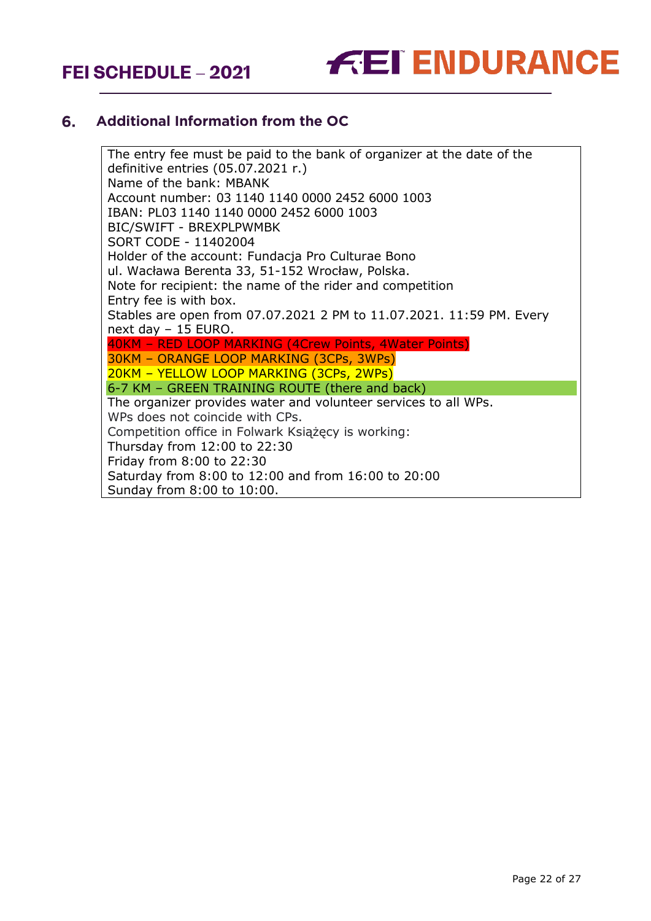

#### <span id="page-21-0"></span>6. **Additional Information from the OC**

The entry fee must be paid to the bank of organizer at the date of the definitive entries (05.07.2021 r.) Name of the bank: MBANK Account number: 03 1140 1140 0000 2452 6000 1003 IBAN: PL03 1140 1140 0000 2452 6000 1003 BIC/SWIFT - BREXPLPWMBK SORT CODE - 11402004 Holder of the account: Fundacja Pro Culturae Bono ul. Wacława Berenta 33, 51-152 Wrocław, Polska. Note for recipient: the name of the rider and competition Entry fee is with box. Stables are open from 07.07.2021 2 PM to 11.07.2021. 11:59 PM. Every next day – 15 EURO. 40KM – RED LOOP MARKING (4Crew Points, 4Water Points) 30KM – ORANGE LOOP MARKING (3CPs, 3WPs) 20KM – YELLOW LOOP MARKING (3CPs, 2WPs) 6-7 KM – GREEN TRAINING ROUTE (there and back) The organizer provides water and volunteer services to all WPs. WPs does not coincide with CPs. Competition office in Folwark Książęcy is working: Thursday from 12:00 to 22:30 Friday from 8:00 to 22:30 Saturday from 8:00 to 12:00 and from 16:00 to 20:00 Sunday from 8:00 to 10:00.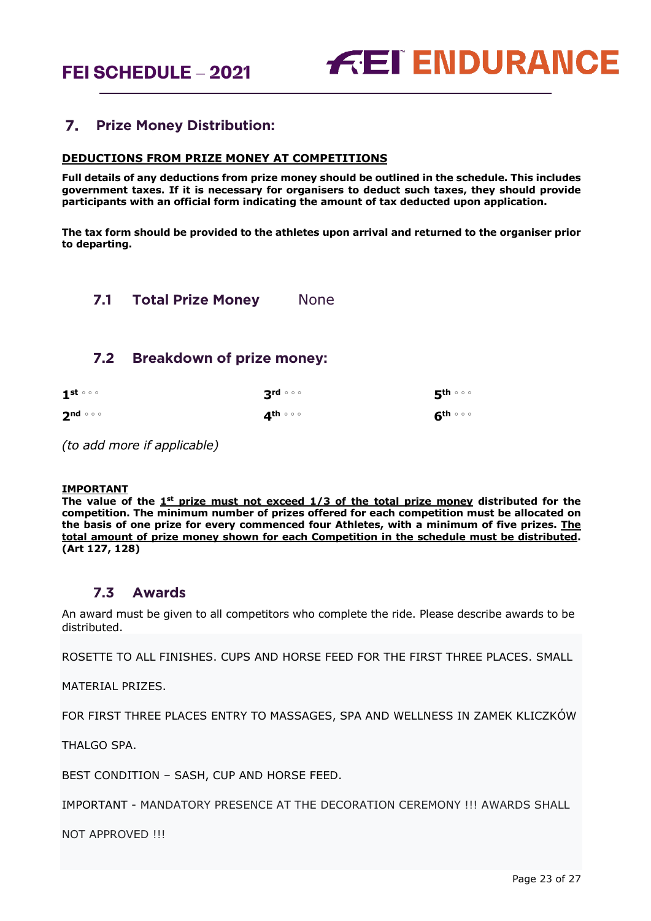#### <span id="page-22-0"></span> $Z_{\bullet}$ **Prize Money Distribution:**

#### **DEDUCTIONS FROM PRIZE MONEY AT COMPETITIONS**

**Full details of any deductions from prize money should be outlined in the schedule. This includes government taxes. If it is necessary for organisers to deduct such taxes, they should provide participants with an official form indicating the amount of tax deducted upon application.** 

**The tax form should be provided to the athletes upon arrival and returned to the organiser prior to departing.**

<span id="page-22-1"></span>**7.1 Total Prize Money** None

#### <span id="page-22-2"></span>**7.2 Breakdown of prize money:**

| $1^{st}$ $\circ$ $\circ$ | $3^{\text{rd} \circ \circ \circ}$ | 5 <sup>th ∘ ∘ ∘</sup>             |
|--------------------------|-----------------------------------|-----------------------------------|
| $2^{nd}$ $\circ$ $\circ$ | ⊿th ∘ ∘ ∘                         | $6^{\text{th} \circ \circ \circ}$ |

*(to add more if applicable)*

#### **IMPORTANT**

**The value of the 1st prize must not exceed 1/3 of the total prize money distributed for the competition. The minimum number of prizes offered for each competition must be allocated on the basis of one prize for every commenced four Athletes, with a minimum of five prizes. The total amount of prize money shown for each Competition in the schedule must be distributed. (Art 127, 128)**

#### **7.3 Awards**

<span id="page-22-3"></span>An award must be given to all competitors who complete the ride. Please describe awards to be distributed.

ROSETTE TO ALL FINISHES. CUPS AND HORSE FEED FOR THE FIRST THREE PLACES. SMALL

MATERIAL PRIZES.

FOR FIRST THREE PLACES ENTRY TO MASSAGES, SPA AND WELLNESS IN ZAMEK KLICZKÓW

THALGO SPA.

BEST CONDITION – SASH, CUP AND HORSE FEED.

IMPORTANT - MANDATORY PRESENCE AT THE DECORATION CEREMONY !!! AWARDS SHALL

NOT APPROVED !!!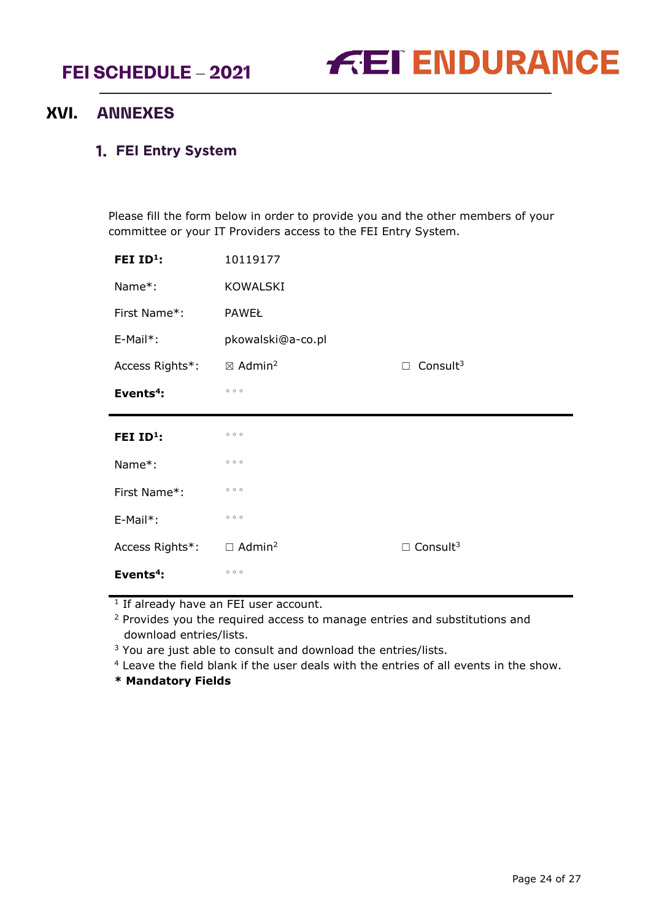

# <span id="page-23-0"></span>**XVI. ANNEXES**

#### <span id="page-23-1"></span>**FEI Entry System**

Please fill the form below in order to provide you and the other members of your committee or your IT Providers access to the FEI Entry System.

| FEI $ID^1$ :    | 10119177                       |                             |
|-----------------|--------------------------------|-----------------------------|
| Name*:          | <b>KOWALSKI</b>                |                             |
| First Name*:    | <b>PAWEŁ</b>                   |                             |
| E-Mail*:        | pkowalski@a-co.pl              |                             |
| Access Rights*: | $\boxtimes$ Admin <sup>2</sup> | Consult $3$<br>$\Box$       |
| Events $4$ :    | 000                            |                             |
|                 |                                |                             |
| FEI $ID^1$ :    | 000                            |                             |
| Name*:          | 000                            |                             |
| First Name*:    | 000                            |                             |
| E-Mail*:        | 000                            |                             |
| Access Rights*: | $\Box$ Admin <sup>2</sup>      | $\Box$ Consult <sup>3</sup> |

<sup>1</sup> If already have an FEI user account.

<sup>2</sup> Provides you the required access to manage entries and substitutions and download entries/lists.

<sup>3</sup> You are just able to consult and download the entries/lists.

<sup>4</sup> Leave the field blank if the user deals with the entries of all events in the show.

**\* Mandatory Fields**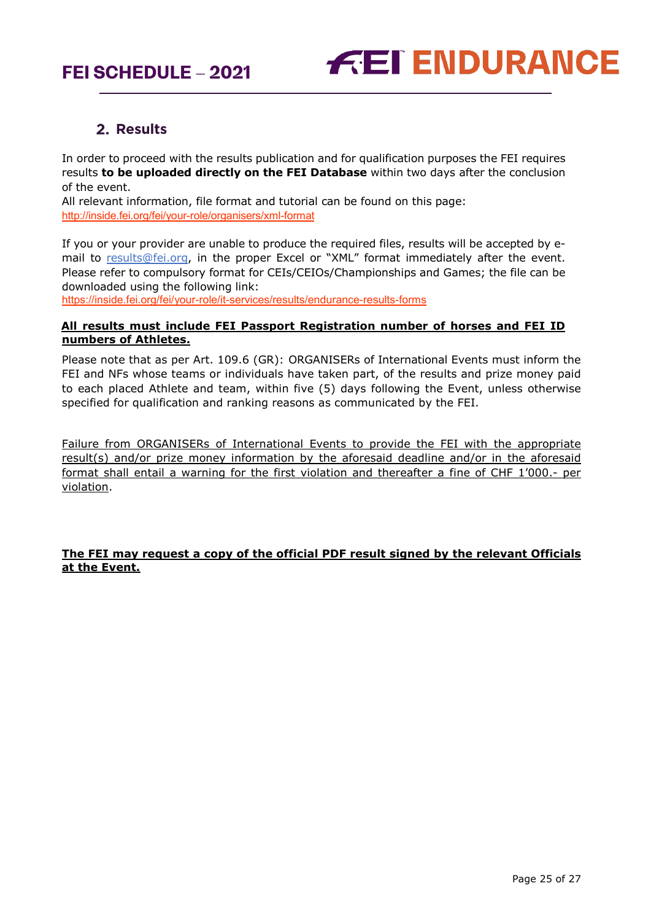

# 2. Results

<span id="page-24-0"></span>In order to proceed with the results publication and for qualification purposes the FEI requires results **to be uploaded directly on the FEI Database** within two days after the conclusion of the event.

All relevant information, file format and tutorial can be found on this page: <http://inside.fei.org/fei/your-role/organisers/xml-format>

If you or your provider are unable to produce the required files, results will be accepted by email to [results@fei.org,](mailto:results@fei.org) in the proper Excel or "XML" format immediately after the event. Please refer to compulsory format for CEIs/CEIOs/Championships and Games; the file can be downloaded using the following link:

https://inside.fei.org/fei/your-role/it-services/results/endurance-results-forms

#### **All results must include FEI Passport Registration number of horses and FEI ID numbers of Athletes.**

Please note that as per Art. 109.6 (GR): ORGANISERs of International Events must inform the FEI and NFs whose teams or individuals have taken part, of the results and prize money paid to each placed Athlete and team, within five (5) days following the Event, unless otherwise specified for qualification and ranking reasons as communicated by the FEI.

Failure from ORGANISERs of International Events to provide the FEI with the appropriate result(s) and/or prize money information by the aforesaid deadline and/or in the aforesaid format shall entail a warning for the first violation and thereafter a fine of CHF 1'000.- per violation.

#### **The FEI may request a copy of the official PDF result signed by the relevant Officials at the Event.**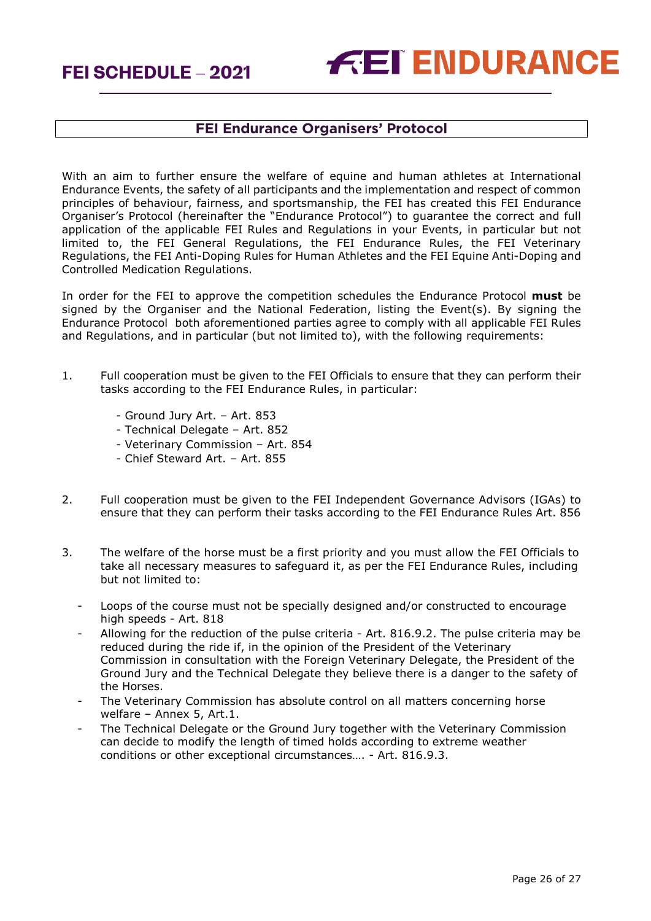

## **FEI Endurance Organisers' Protocol**

With an aim to further ensure the welfare of equine and human athletes at International Endurance Events, the safety of all participants and the implementation and respect of common principles of behaviour, fairness, and sportsmanship, the FEI has created this FEI Endurance Organiser's Protocol (hereinafter the "Endurance Protocol") to guarantee the correct and full application of the applicable FEI Rules and Regulations in your Events, in particular but not limited to, the FEI General Regulations, the FEI Endurance Rules, the FEI Veterinary Regulations, the FEI Anti-Doping Rules for Human Athletes and the FEI Equine Anti-Doping and Controlled Medication Regulations.

In order for the FEI to approve the competition schedules the Endurance Protocol **must** be signed by the Organiser and the National Federation, listing the Event(s). By signing the Endurance Protocol both aforementioned parties agree to comply with all applicable FEI Rules and Regulations, and in particular (but not limited to), with the following requirements:

- 1. Full cooperation must be given to the FEI Officials to ensure that they can perform their tasks according to the FEI Endurance Rules, in particular:
	- Ground Jury Art. Art. 853
	- Technical Delegate Art. 852
	- Veterinary Commission Art. 854
	- Chief Steward Art. Art. 855
- 2. Full cooperation must be given to the FEI Independent Governance Advisors (IGAs) to ensure that they can perform their tasks according to the FEI Endurance Rules Art. 856
- 3. The welfare of the horse must be a first priority and you must allow the FEI Officials to take all necessary measures to safeguard it, as per the FEI Endurance Rules, including but not limited to:
	- Loops of the course must not be specially designed and/or constructed to encourage high speeds - Art. 818
	- Allowing for the reduction of the pulse criteria Art. 816.9.2. The pulse criteria may be reduced during the ride if, in the opinion of the President of the Veterinary Commission in consultation with the Foreign Veterinary Delegate, the President of the Ground Jury and the Technical Delegate they believe there is a danger to the safety of the Horses.
	- The Veterinary Commission has absolute control on all matters concerning horse welfare – Annex 5, Art.1.
	- The Technical Delegate or the Ground Jury together with the Veterinary Commission can decide to modify the length of timed holds according to extreme weather conditions or other exceptional circumstances…. - Art. 816.9.3.